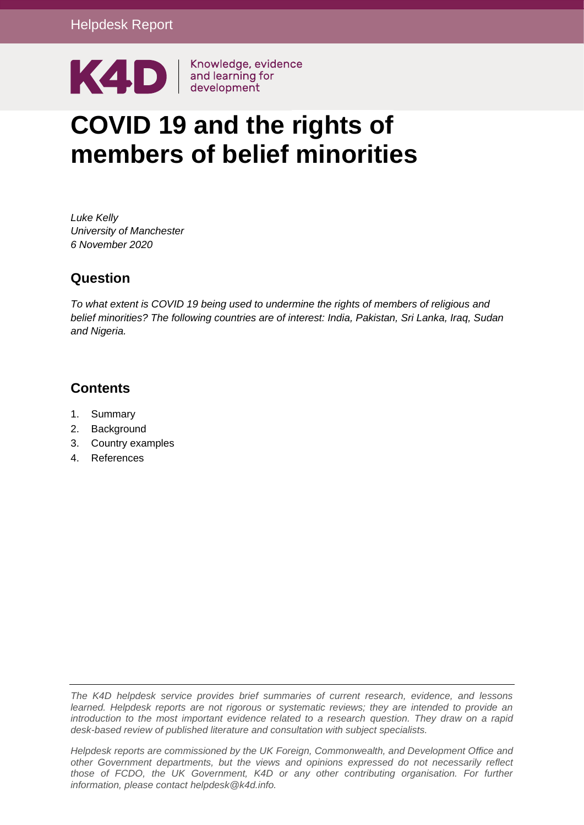

# **COVID 19 and the rights of members of belief minorities**

*Luke Kelly University of Manchester 6 November 2020*

# **Question**

*To what extent is COVID 19 being used to undermine the rights of members of religious and belief minorities? The following countries are of interest: India, Pakistan, Sri Lanka, Iraq, Sudan and Nigeria.* 

# **Contents**

- 1. [Summary](#page-0-0)
- 2. Background
- 3. Country examples
- <span id="page-0-0"></span>4. References

*The K4D helpdesk service provides brief summaries of current research, evidence, and lessons learned. Helpdesk reports are not rigorous or systematic reviews; they are intended to provide an introduction to the most important evidence related to a research question. They draw on a rapid desk-based review of published literature and consultation with subject specialists.* 

*Helpdesk reports are commissioned by the UK Foreign, Commonwealth, and Development Office and other Government departments, but the views and opinions expressed do not necessarily reflect*  those of FCDO, the UK Government, K4D or any other contributing organisation. For further *information, please contact helpdesk@k4d.info.*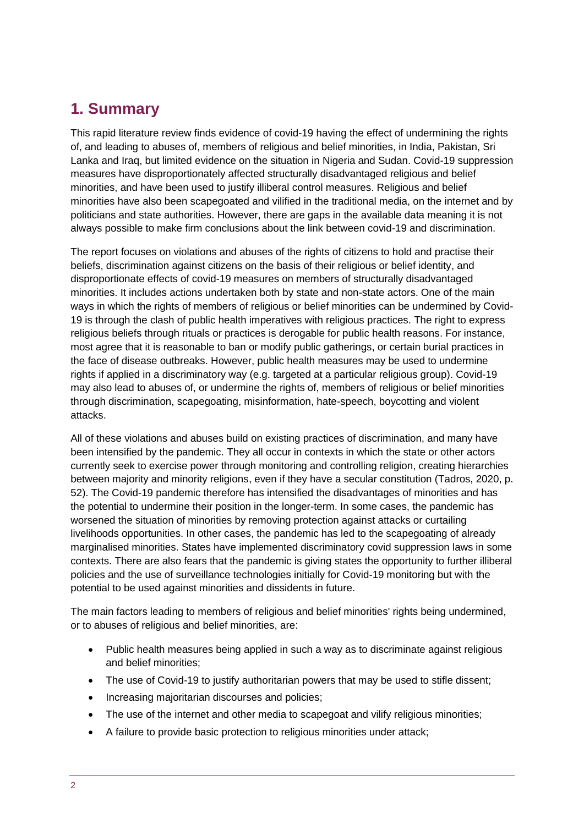# **1. Summary**

This rapid literature review finds evidence of covid-19 having the effect of undermining the rights of, and leading to abuses of, members of religious and belief minorities, in India, Pakistan, Sri Lanka and Iraq, but limited evidence on the situation in Nigeria and Sudan. Covid-19 suppression measures have disproportionately affected structurally disadvantaged religious and belief minorities, and have been used to justify illiberal control measures. Religious and belief minorities have also been scapegoated and vilified in the traditional media, on the internet and by politicians and state authorities. However, there are gaps in the available data meaning it is not always possible to make firm conclusions about the link between covid-19 and discrimination.

The report focuses on violations and abuses of the rights of citizens to hold and practise their beliefs, discrimination against citizens on the basis of their religious or belief identity, and disproportionate effects of covid-19 measures on members of structurally disadvantaged minorities. It includes actions undertaken both by state and non-state actors. One of the main ways in which the rights of members of religious or belief minorities can be undermined by Covid-19 is through the clash of public health imperatives with religious practices. The right to express religious beliefs through rituals or practices is derogable for public health reasons. For instance, most agree that it is reasonable to ban or modify public gatherings, or certain burial practices in the face of disease outbreaks. However, public health measures may be used to undermine rights if applied in a discriminatory way (e.g. targeted at a particular religious group). Covid-19 may also lead to abuses of, or undermine the rights of, members of religious or belief minorities through discrimination, scapegoating, misinformation, hate-speech, boycotting and violent attacks.

All of these violations and abuses build on existing practices of discrimination, and many have been intensified by the pandemic. They all occur in contexts in which the state or other actors currently seek to exercise power through monitoring and controlling religion, creating hierarchies between majority and minority religions, even if they have a secular constitution (Tadros, 2020, p. 52). The Covid-19 pandemic therefore has intensified the disadvantages of minorities and has the potential to undermine their position in the longer-term. In some cases, the pandemic has worsened the situation of minorities by removing protection against attacks or curtailing livelihoods opportunities. In other cases, the pandemic has led to the scapegoating of already marginalised minorities. States have implemented discriminatory covid suppression laws in some contexts. There are also fears that the pandemic is giving states the opportunity to further illiberal policies and the use of surveillance technologies initially for Covid-19 monitoring but with the potential to be used against minorities and dissidents in future.

The main factors leading to members of religious and belief minorities' rights being undermined, or to abuses of religious and belief minorities, are:

- Public health measures being applied in such a way as to discriminate against religious and belief minorities;
- The use of Covid-19 to justify authoritarian powers that may be used to stifle dissent;
- Increasing majoritarian discourses and policies;
- The use of the internet and other media to scape poat and vilify religious minorities;
- A failure to provide basic protection to religious minorities under attack;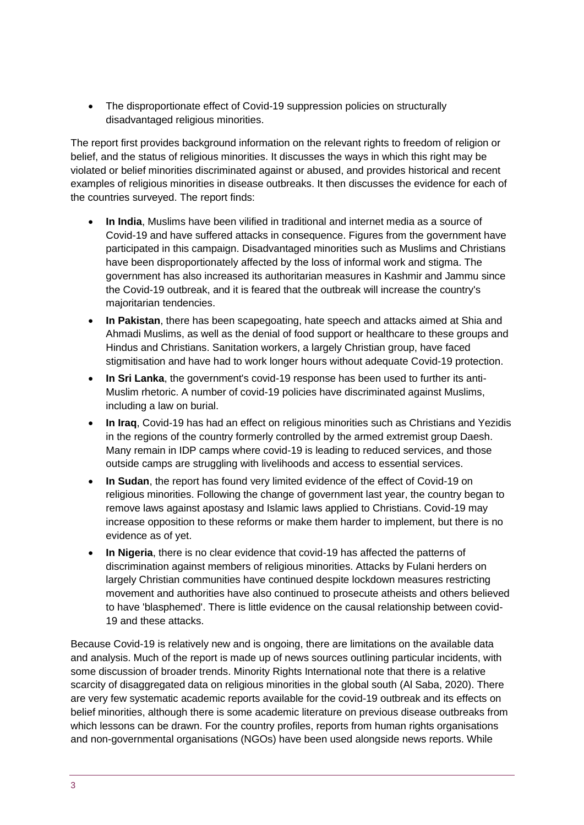• The disproportionate effect of Covid-19 suppression policies on structurally disadvantaged religious minorities.

The report first provides background information on the relevant rights to freedom of religion or belief, and the status of religious minorities. It discusses the ways in which this right may be violated or belief minorities discriminated against or abused, and provides historical and recent examples of religious minorities in disease outbreaks. It then discusses the evidence for each of the countries surveyed. The report finds:

- **In India**, Muslims have been vilified in traditional and internet media as a source of Covid-19 and have suffered attacks in consequence. Figures from the government have participated in this campaign. Disadvantaged minorities such as Muslims and Christians have been disproportionately affected by the loss of informal work and stigma. The government has also increased its authoritarian measures in Kashmir and Jammu since the Covid-19 outbreak, and it is feared that the outbreak will increase the country's majoritarian tendencies.
- **In Pakistan**, there has been scapegoating, hate speech and attacks aimed at Shia and Ahmadi Muslims, as well as the denial of food support or healthcare to these groups and Hindus and Christians. Sanitation workers, a largely Christian group, have faced stigmitisation and have had to work longer hours without adequate Covid-19 protection.
- **In Sri Lanka**, the government's covid-19 response has been used to further its anti-Muslim rhetoric. A number of covid-19 policies have discriminated against Muslims, including a law on burial.
- **In Iraq**, Covid-19 has had an effect on religious minorities such as Christians and Yezidis in the regions of the country formerly controlled by the armed extremist group Daesh. Many remain in IDP camps where covid-19 is leading to reduced services, and those outside camps are struggling with livelihoods and access to essential services.
- **In Sudan**, the report has found very limited evidence of the effect of Covid-19 on religious minorities. Following the change of government last year, the country began to remove laws against apostasy and Islamic laws applied to Christians. Covid-19 may increase opposition to these reforms or make them harder to implement, but there is no evidence as of yet.
- **In Nigeria**, there is no clear evidence that covid-19 has affected the patterns of discrimination against members of religious minorities. Attacks by Fulani herders on largely Christian communities have continued despite lockdown measures restricting movement and authorities have also continued to prosecute atheists and others believed to have 'blasphemed'. There is little evidence on the causal relationship between covid-19 and these attacks.

Because Covid-19 is relatively new and is ongoing, there are limitations on the available data and analysis. Much of the report is made up of news sources outlining particular incidents, with some discussion of broader trends. Minority Rights International note that there is a relative scarcity of disaggregated data on religious minorities in the global south (Al Saba, 2020). There are very few systematic academic reports available for the covid-19 outbreak and its effects on belief minorities, although there is some academic literature on previous disease outbreaks from which lessons can be drawn. For the country profiles, reports from human rights organisations and non-governmental organisations (NGOs) have been used alongside news reports. While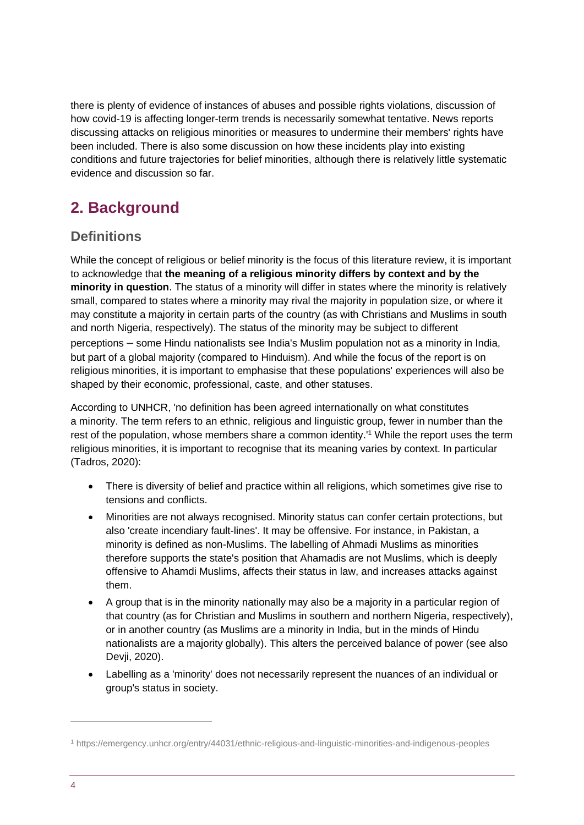there is plenty of evidence of instances of abuses and possible rights violations, discussion of how covid-19 is affecting longer-term trends is necessarily somewhat tentative. News reports discussing attacks on religious minorities or measures to undermine their members' rights have been included. There is also some discussion on how these incidents play into existing conditions and future trajectories for belief minorities, although there is relatively little systematic evidence and discussion so far.

# **2. Background**

# **Definitions**

While the concept of religious or belief minority is the focus of this literature review, it is important to acknowledge that **the meaning of a religious minority differs by context and by the minority in question**. The status of a minority will differ in states where the minority is relatively small, compared to states where a minority may rival the majority in population size, or where it may constitute a majority in certain parts of the country (as with Christians and Muslims in south and north Nigeria, respectively). The status of the minority may be subject to different perceptions – some Hindu nationalists see India's Muslim population not as a minority in India, but part of a global majority (compared to Hinduism). And while the focus of the report is on religious minorities, it is important to emphasise that these populations' experiences will also be shaped by their economic, professional, caste, and other statuses.

According to UNHCR, 'no definition has been agreed internationally on what constitutes a minority. The term refers to an ethnic, religious and linguistic group, fewer in number than the rest of the population, whose members share a common identity.'<sup>1</sup> While the report uses the term religious minorities, it is important to recognise that its meaning varies by context. In particular (Tadros, 2020):

- There is diversity of belief and practice within all religions, which sometimes give rise to tensions and conflicts.
- Minorities are not always recognised. Minority status can confer certain protections, but also 'create incendiary fault-lines'. It may be offensive. For instance, in Pakistan, a minority is defined as non-Muslims. The labelling of Ahmadi Muslims as minorities therefore supports the state's position that Ahamadis are not Muslims, which is deeply offensive to Ahamdi Muslims, affects their status in law, and increases attacks against them.
- A group that is in the minority nationally may also be a majority in a particular region of that country (as for Christian and Muslims in southern and northern Nigeria, respectively), or in another country (as Muslims are a minority in India, but in the minds of Hindu nationalists are a majority globally). This alters the perceived balance of power (see also Devji, 2020).
- Labelling as a 'minority' does not necessarily represent the nuances of an individual or group's status in society.

<sup>1</sup> https://emergency.unhcr.org/entry/44031/ethnic-religious-and-linguistic-minorities-and-indigenous-peoples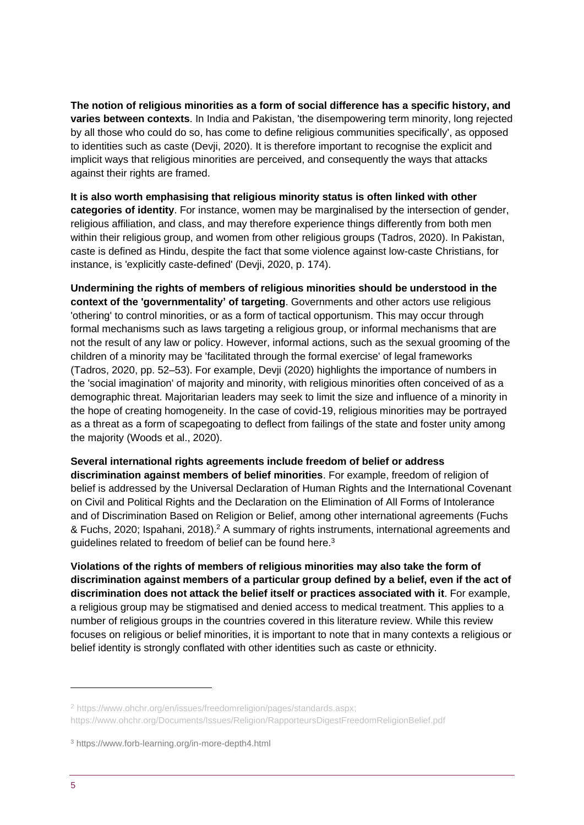**The notion of religious minorities as a form of social difference has a specific history, and varies between contexts**. In India and Pakistan, 'the disempowering term minority, long rejected by all those who could do so, has come to define religious communities specifically', as opposed to identities such as caste (Devji, 2020). It is therefore important to recognise the explicit and implicit ways that religious minorities are perceived, and consequently the ways that attacks against their rights are framed.

**It is also worth emphasising that religious minority status is often linked with other categories of identity**. For instance, women may be marginalised by the intersection of gender, religious affiliation, and class, and may therefore experience things differently from both men within their religious group, and women from other religious groups (Tadros, 2020). In Pakistan, caste is defined as Hindu, despite the fact that some violence against low-caste Christians, for instance, is 'explicitly caste-defined' (Devji, 2020, p. 174).

**Undermining the rights of members of religious minorities should be understood in the context of the 'governmentality' of targeting**. Governments and other actors use religious 'othering' to control minorities, or as a form of tactical opportunism. This may occur through formal mechanisms such as laws targeting a religious group, or informal mechanisms that are not the result of any law or policy. However, informal actions, such as the sexual grooming of the children of a minority may be 'facilitated through the formal exercise' of legal frameworks (Tadros, 2020, pp. 52–53). For example, Devji (2020) highlights the importance of numbers in the 'social imagination' of majority and minority, with religious minorities often conceived of as a demographic threat. Majoritarian leaders may seek to limit the size and influence of a minority in the hope of creating homogeneity. In the case of covid-19, religious minorities may be portrayed as a threat as a form of scapegoating to deflect from failings of the state and foster unity among the majority (Woods et al., 2020).

#### **Several international rights agreements include freedom of belief or address**

**discrimination against members of belief minorities**. For example, freedom of religion of belief is addressed by the Universal Declaration of Human Rights and the International Covenant on Civil and Political Rights and the Declaration on the Elimination of All Forms of Intolerance and of Discrimination Based on Religion or Belief, among other international agreements (Fuchs & Fuchs, 2020; Ispahani, 2018).<sup>2</sup> A summary of rights instruments, international agreements and guidelines related to freedom of belief can be found here.<sup>3</sup>

**Violations of the rights of members of religious minorities may also take the form of discrimination against members of a particular group defined by a belief, even if the act of discrimination does not attack the belief itself or practices associated with it**. For example, a religious group may be stigmatised and denied access to medical treatment. This applies to a number of religious groups in the countries covered in this literature review. While this review focuses on religious or belief minorities, it is important to note that in many contexts a religious or belief identity is strongly conflated with other identities such as caste or ethnicity.

<sup>2</sup> https://www.ohchr.org/en/issues/freedomreligion/pages/standards.aspx;

https://www.ohchr.org/Documents/Issues/Religion/RapporteursDigestFreedomReligionBelief.pdf

<sup>3</sup> https://www.forb-learning.org/in-more-depth4.html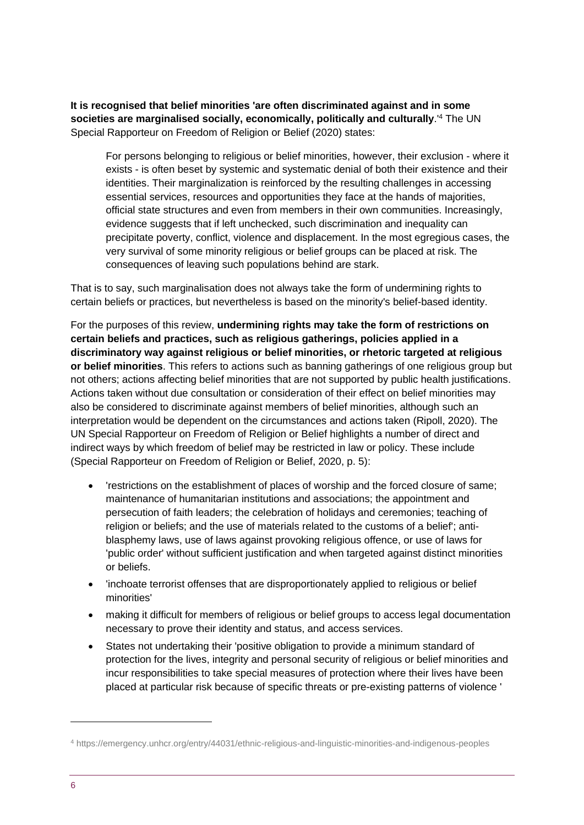**It is recognised that belief minorities 'are often discriminated against and in some societies are marginalised socially, economically, politically and culturally**.'<sup>4</sup> The UN Special Rapporteur on Freedom of Religion or Belief (2020) states:

For persons belonging to religious or belief minorities, however, their exclusion - where it exists - is often beset by systemic and systematic denial of both their existence and their identities. Their marginalization is reinforced by the resulting challenges in accessing essential services, resources and opportunities they face at the hands of majorities, official state structures and even from members in their own communities. Increasingly, evidence suggests that if left unchecked, such discrimination and inequality can precipitate poverty, conflict, violence and displacement. In the most egregious cases, the very survival of some minority religious or belief groups can be placed at risk. The consequences of leaving such populations behind are stark.

That is to say, such marginalisation does not always take the form of undermining rights to certain beliefs or practices, but nevertheless is based on the minority's belief-based identity.

For the purposes of this review, **undermining rights may take the form of restrictions on certain beliefs and practices, such as religious gatherings, policies applied in a discriminatory way against religious or belief minorities, or rhetoric targeted at religious or belief minorities**. This refers to actions such as banning gatherings of one religious group but not others; actions affecting belief minorities that are not supported by public health justifications. Actions taken without due consultation or consideration of their effect on belief minorities may also be considered to discriminate against members of belief minorities, although such an interpretation would be dependent on the circumstances and actions taken (Ripoll, 2020). The UN Special Rapporteur on Freedom of Religion or Belief highlights a number of direct and indirect ways by which freedom of belief may be restricted in law or policy. These include (Special Rapporteur on Freedom of Religion or Belief, 2020, p. 5):

- 'restrictions on the establishment of places of worship and the forced closure of same; maintenance of humanitarian institutions and associations; the appointment and persecution of faith leaders; the celebration of holidays and ceremonies; teaching of religion or beliefs; and the use of materials related to the customs of a belief'; antiblasphemy laws, use of laws against provoking religious offence, or use of laws for 'public order' without sufficient justification and when targeted against distinct minorities or beliefs.
- 'inchoate terrorist offenses that are disproportionately applied to religious or belief minorities'
- making it difficult for members of religious or belief groups to access legal documentation necessary to prove their identity and status, and access services.
- States not undertaking their 'positive obligation to provide a minimum standard of protection for the lives, integrity and personal security of religious or belief minorities and incur responsibilities to take special measures of protection where their lives have been placed at particular risk because of specific threats or pre-existing patterns of violence '

<sup>4</sup> https://emergency.unhcr.org/entry/44031/ethnic-religious-and-linguistic-minorities-and-indigenous-peoples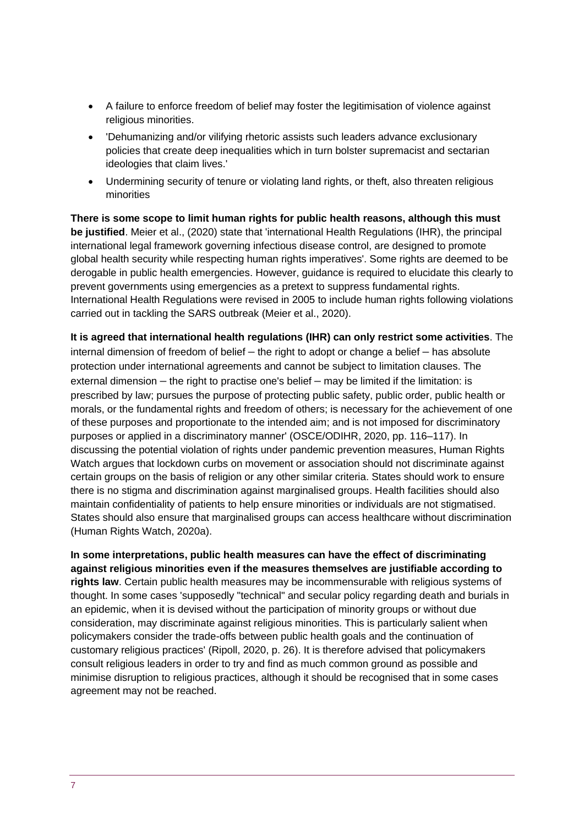- A failure to enforce freedom of belief may foster the legitimisation of violence against religious minorities.
- 'Dehumanizing and/or vilifying rhetoric assists such leaders advance exclusionary policies that create deep inequalities which in turn bolster supremacist and sectarian ideologies that claim lives.'
- Undermining security of tenure or violating land rights, or theft, also threaten religious minorities

**There is some scope to limit human rights for public health reasons, although this must be justified**. Meier et al., (2020) state that 'international Health Regulations (IHR), the principal international legal framework governing infectious disease control, are designed to promote global health security while respecting human rights imperatives'. Some rights are deemed to be derogable in public health emergencies. However, guidance is required to elucidate this clearly to prevent governments using emergencies as a pretext to suppress fundamental rights. International Health Regulations were revised in 2005 to include human rights following violations carried out in tackling the SARS outbreak (Meier et al., 2020).

**It is agreed that international health regulations (IHR) can only restrict some activities**. The internal dimension of freedom of belief – the right to adopt or change a belief – has absolute protection under international agreements and cannot be subject to limitation clauses. The external dimension – the right to practise one's belief – may be limited if the limitation: is prescribed by law; pursues the purpose of protecting public safety, public order, public health or morals, or the fundamental rights and freedom of others; is necessary for the achievement of one of these purposes and proportionate to the intended aim; and is not imposed for discriminatory purposes or applied in a discriminatory manner' (OSCE/ODIHR, 2020, pp. 116–117). In discussing the potential violation of rights under pandemic prevention measures, Human Rights Watch argues that lockdown curbs on movement or association should not discriminate against certain groups on the basis of religion or any other similar criteria. States should work to ensure there is no stigma and discrimination against marginalised groups. Health facilities should also maintain confidentiality of patients to help ensure minorities or individuals are not stigmatised. States should also ensure that marginalised groups can access healthcare without discrimination (Human Rights Watch, 2020a).

**In some interpretations, public health measures can have the effect of discriminating against religious minorities even if the measures themselves are justifiable according to rights law**. Certain public health measures may be incommensurable with religious systems of thought. In some cases 'supposedly "technical" and secular policy regarding death and burials in an epidemic, when it is devised without the participation of minority groups or without due consideration, may discriminate against religious minorities. This is particularly salient when policymakers consider the trade-offs between public health goals and the continuation of customary religious practices' (Ripoll, 2020, p. 26). It is therefore advised that policymakers consult religious leaders in order to try and find as much common ground as possible and minimise disruption to religious practices, although it should be recognised that in some cases agreement may not be reached.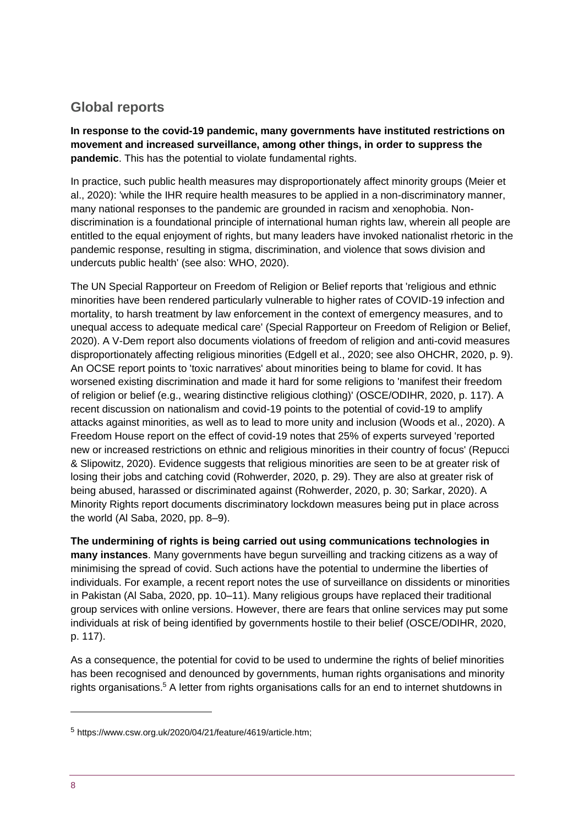# **Global reports**

**In response to the covid-19 pandemic, many governments have instituted restrictions on movement and increased surveillance, among other things, in order to suppress the pandemic**. This has the potential to violate fundamental rights.

In practice, such public health measures may disproportionately affect minority groups (Meier et al., 2020): 'while the IHR require health measures to be applied in a non-discriminatory manner, many national responses to the pandemic are grounded in racism and xenophobia. Nondiscrimination is a foundational principle of international human rights law, wherein all people are entitled to the equal enjoyment of rights, but many leaders have invoked nationalist rhetoric in the pandemic response, resulting in stigma, discrimination, and violence that sows division and undercuts public health' (see also: WHO, 2020).

The UN Special Rapporteur on Freedom of Religion or Belief reports that 'religious and ethnic minorities have been rendered particularly vulnerable to higher rates of COVID-19 infection and mortality, to harsh treatment by law enforcement in the context of emergency measures, and to unequal access to adequate medical care' (Special Rapporteur on Freedom of Religion or Belief, 2020). A V-Dem report also documents violations of freedom of religion and anti-covid measures disproportionately affecting religious minorities (Edgell et al., 2020; see also OHCHR, 2020, p. 9). An OCSE report points to 'toxic narratives' about minorities being to blame for covid. It has worsened existing discrimination and made it hard for some religions to 'manifest their freedom of religion or belief (e.g., wearing distinctive religious clothing)' (OSCE/ODIHR, 2020, p. 117). A recent discussion on nationalism and covid-19 points to the potential of covid-19 to amplify attacks against minorities, as well as to lead to more unity and inclusion (Woods et al., 2020). A Freedom House report on the effect of covid-19 notes that 25% of experts surveyed 'reported new or increased restrictions on ethnic and religious minorities in their country of focus' (Repucci & Slipowitz, 2020). Evidence suggests that religious minorities are seen to be at greater risk of losing their jobs and catching covid (Rohwerder, 2020, p. 29). They are also at greater risk of being abused, harassed or discriminated against (Rohwerder, 2020, p. 30; Sarkar, 2020). A Minority Rights report documents discriminatory lockdown measures being put in place across the world (Al Saba, 2020, pp. 8–9).

**The undermining of rights is being carried out using communications technologies in many instances**. Many governments have begun surveilling and tracking citizens as a way of minimising the spread of covid. Such actions have the potential to undermine the liberties of individuals. For example, a recent report notes the use of surveillance on dissidents or minorities in Pakistan (Al Saba, 2020, pp. 10–11). Many religious groups have replaced their traditional group services with online versions. However, there are fears that online services may put some individuals at risk of being identified by governments hostile to their belief (OSCE/ODIHR, 2020, p. 117).

As a consequence, the potential for covid to be used to undermine the rights of belief minorities has been recognised and denounced by governments, human rights organisations and minority rights organisations.<sup>5</sup> A letter from rights organisations calls for an end to internet shutdowns in

<sup>5</sup> https://www.csw.org.uk/2020/04/21/feature/4619/article.htm;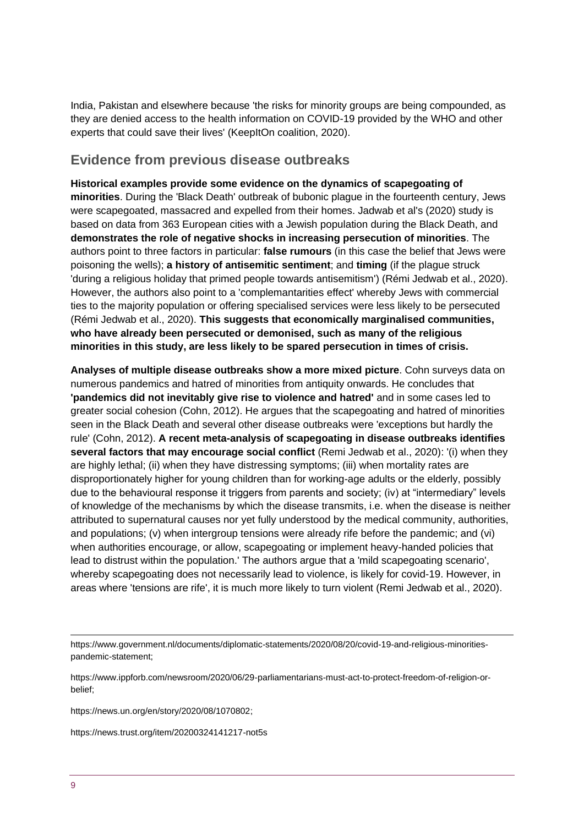India, Pakistan and elsewhere because 'the risks for minority groups are being compounded, as they are denied access to the health information on COVID-19 provided by the WHO and other experts that could save their lives' (KeepItOn coalition, 2020).

# **Evidence from previous disease outbreaks**

**Historical examples provide some evidence on the dynamics of scapegoating of minorities**. During the 'Black Death' outbreak of bubonic plague in the fourteenth century, Jews were scapegoated, massacred and expelled from their homes. Jadwab et al's (2020) study is based on data from 363 European cities with a Jewish population during the Black Death, and **demonstrates the role of negative shocks in increasing persecution of minorities**. The authors point to three factors in particular: **false rumours** (in this case the belief that Jews were poisoning the wells); **a history of antisemitic sentiment**; and **timing** (if the plague struck 'during a religious holiday that primed people towards antisemitism') (Rémi Jedwab et al., 2020). However, the authors also point to a 'complemantarities effect' whereby Jews with commercial ties to the majority population or offering specialised services were less likely to be persecuted (Rémi Jedwab et al., 2020). **This suggests that economically marginalised communities, who have already been persecuted or demonised, such as many of the religious minorities in this study, are less likely to be spared persecution in times of crisis.**

**Analyses of multiple disease outbreaks show a more mixed picture**. Cohn surveys data on numerous pandemics and hatred of minorities from antiquity onwards. He concludes that **'pandemics did not inevitably give rise to violence and hatred'** and in some cases led to greater social cohesion (Cohn, 2012). He argues that the scapegoating and hatred of minorities seen in the Black Death and several other disease outbreaks were 'exceptions but hardly the rule' (Cohn, 2012). **A recent meta-analysis of scapegoating in disease outbreaks identifies several factors that may encourage social conflict** (Remi Jedwab et al., 2020): '(i) when they are highly lethal; (ii) when they have distressing symptoms; (iii) when mortality rates are disproportionately higher for young children than for working-age adults or the elderly, possibly due to the behavioural response it triggers from parents and society; (iv) at "intermediary" levels of knowledge of the mechanisms by which the disease transmits, i.e. when the disease is neither attributed to supernatural causes nor yet fully understood by the medical community, authorities, and populations; (v) when intergroup tensions were already rife before the pandemic; and (vi) when authorities encourage, or allow, scapegoating or implement heavy-handed policies that lead to distrust within the population.' The authors argue that a 'mild scapegoating scenario', whereby scapegoating does not necessarily lead to violence, is likely for covid-19. However, in areas where 'tensions are rife', it is much more likely to turn violent (Remi Jedwab et al., 2020).

https://www.government.nl/documents/diplomatic-statements/2020/08/20/covid-19-and-religious-minoritiespandemic-statement;

https://www.ippforb.com/newsroom/2020/06/29-parliamentarians-must-act-to-protect-freedom-of-religion-orbelief;

https://news.un.org/en/story/2020/08/1070802;

https://news.trust.org/item/20200324141217-not5s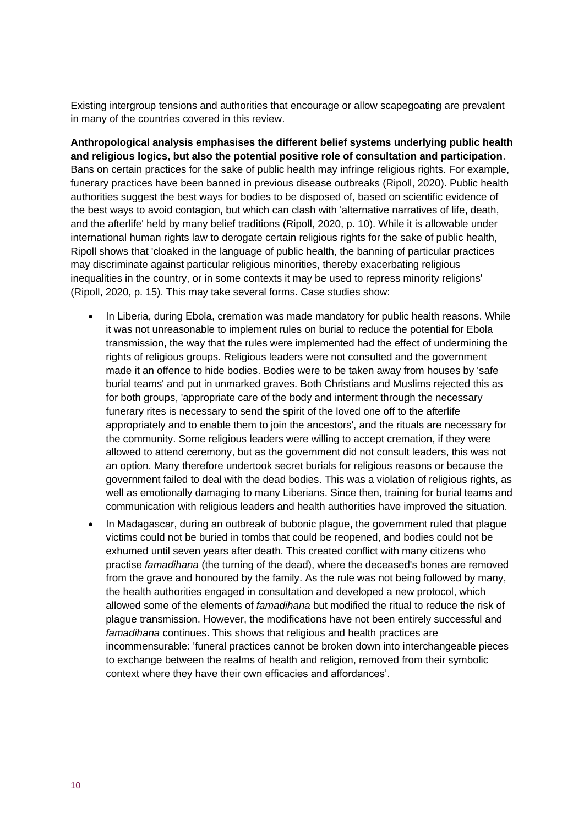Existing intergroup tensions and authorities that encourage or allow scapegoating are prevalent in many of the countries covered in this review.

**Anthropological analysis emphasises the different belief systems underlying public health and religious logics, but also the potential positive role of consultation and participation**. Bans on certain practices for the sake of public health may infringe religious rights. For example, funerary practices have been banned in previous disease outbreaks (Ripoll, 2020). Public health authorities suggest the best ways for bodies to be disposed of, based on scientific evidence of the best ways to avoid contagion, but which can clash with 'alternative narratives of life, death, and the afterlife' held by many belief traditions (Ripoll, 2020, p. 10). While it is allowable under international human rights law to derogate certain religious rights for the sake of public health, Ripoll shows that 'cloaked in the language of public health, the banning of particular practices may discriminate against particular religious minorities, thereby exacerbating religious inequalities in the country, or in some contexts it may be used to repress minority religions' (Ripoll, 2020, p. 15). This may take several forms. Case studies show:

- In Liberia, during Ebola, cremation was made mandatory for public health reasons. While it was not unreasonable to implement rules on burial to reduce the potential for Ebola transmission, the way that the rules were implemented had the effect of undermining the rights of religious groups. Religious leaders were not consulted and the government made it an offence to hide bodies. Bodies were to be taken away from houses by 'safe burial teams' and put in unmarked graves. Both Christians and Muslims rejected this as for both groups, 'appropriate care of the body and interment through the necessary funerary rites is necessary to send the spirit of the loved one off to the afterlife appropriately and to enable them to join the ancestors', and the rituals are necessary for the community. Some religious leaders were willing to accept cremation, if they were allowed to attend ceremony, but as the government did not consult leaders, this was not an option. Many therefore undertook secret burials for religious reasons or because the government failed to deal with the dead bodies. This was a violation of religious rights, as well as emotionally damaging to many Liberians. Since then, training for burial teams and communication with religious leaders and health authorities have improved the situation.
- In Madagascar, during an outbreak of bubonic plague, the government ruled that plague victims could not be buried in tombs that could be reopened, and bodies could not be exhumed until seven years after death. This created conflict with many citizens who practise *famadihana* (the turning of the dead), where the deceased's bones are removed from the grave and honoured by the family. As the rule was not being followed by many, the health authorities engaged in consultation and developed a new protocol, which allowed some of the elements of *famadihana* but modified the ritual to reduce the risk of plague transmission. However, the modifications have not been entirely successful and *famadihana* continues. This shows that religious and health practices are incommensurable: 'funeral practices cannot be broken down into interchangeable pieces to exchange between the realms of health and religion, removed from their symbolic context where they have their own efficacies and affordances'.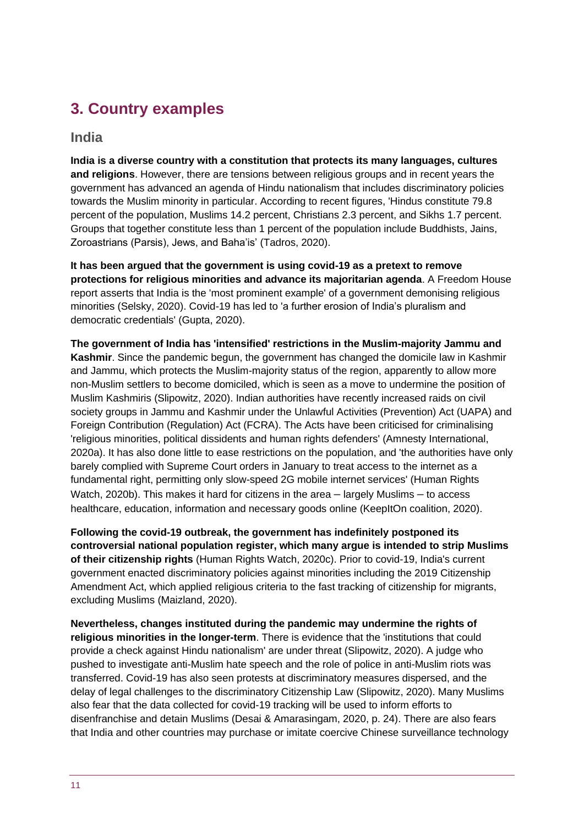# **3. Country examples**

### **India**

**India is a diverse country with a constitution that protects its many languages, cultures and religions**. However, there are tensions between religious groups and in recent years the government has advanced an agenda of Hindu nationalism that includes discriminatory policies towards the Muslim minority in particular. According to recent figures, 'Hindus constitute 79.8 percent of the population, Muslims 14.2 percent, Christians 2.3 percent, and Sikhs 1.7 percent. Groups that together constitute less than 1 percent of the population include Buddhists, Jains, Zoroastrians (Parsis), Jews, and Baha'is' (Tadros, 2020).

**It has been argued that the government is using covid-19 as a pretext to remove protections for religious minorities and advance its majoritarian agenda**. A Freedom House report asserts that India is the 'most prominent example' of a government demonising religious minorities (Selsky, 2020). Covid-19 has led to 'a further erosion of India's pluralism and democratic credentials' (Gupta, 2020).

**The government of India has 'intensified' restrictions in the Muslim-majority Jammu and Kashmir**. Since the pandemic begun, the government has changed the domicile law in Kashmir and Jammu, which protects the Muslim-majority status of the region, apparently to allow more non-Muslim settlers to become domiciled, which is seen as a move to undermine the position of Muslim Kashmiris (Slipowitz, 2020). Indian authorities have recently increased raids on civil society groups in Jammu and Kashmir under the Unlawful Activities (Prevention) Act (UAPA) and Foreign Contribution (Regulation) Act (FCRA). The Acts have been criticised for criminalising 'religious minorities, political dissidents and human rights defenders' (Amnesty International, 2020a). It has also done little to ease restrictions on the population, and 'the authorities have only barely complied with Supreme Court orders in January to treat access to the internet as a fundamental right, permitting only slow-speed 2G mobile internet services' (Human Rights Watch, 2020b). This makes it hard for citizens in the area – largely Muslims – to access healthcare, education, information and necessary goods online (KeepItOn coalition, 2020).

**Following the covid-19 outbreak, the government has indefinitely postponed its controversial national population register, which many argue is intended to strip Muslims of their citizenship rights** (Human Rights Watch, 2020c). Prior to covid-19, India's current government enacted discriminatory policies against minorities including the 2019 Citizenship Amendment Act, which applied religious criteria to the fast tracking of citizenship for migrants, excluding Muslims (Maizland, 2020).

**Nevertheless, changes instituted during the pandemic may undermine the rights of religious minorities in the longer-term**. There is evidence that the 'institutions that could provide a check against Hindu nationalism' are under threat (Slipowitz, 2020). A judge who pushed to investigate anti-Muslim hate speech and the role of police in anti-Muslim riots was transferred. Covid-19 has also seen protests at discriminatory measures dispersed, and the delay of legal challenges to the discriminatory Citizenship Law (Slipowitz, 2020). Many Muslims also fear that the data collected for covid-19 tracking will be used to inform efforts to disenfranchise and detain Muslims (Desai & Amarasingam, 2020, p. 24). There are also fears that India and other countries may purchase or imitate coercive Chinese surveillance technology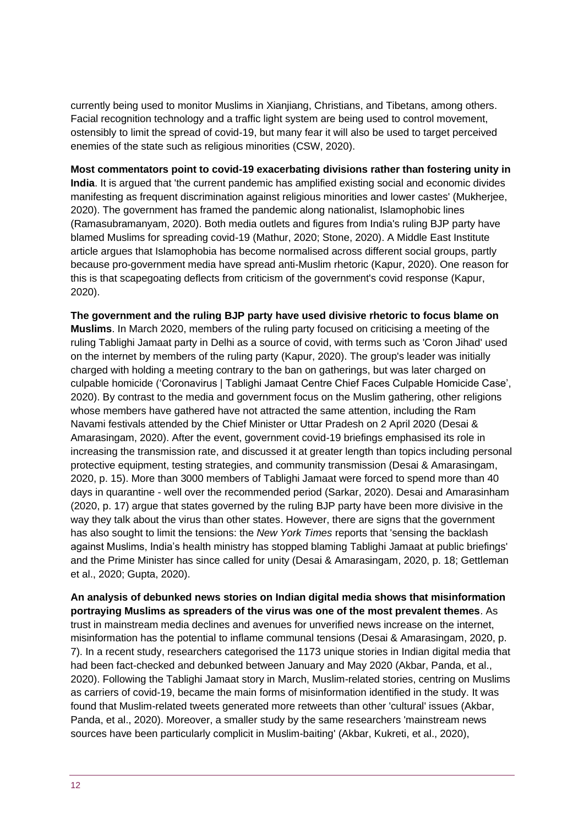currently being used to monitor Muslims in Xianjiang, Christians, and Tibetans, among others. Facial recognition technology and a traffic light system are being used to control movement, ostensibly to limit the spread of covid-19, but many fear it will also be used to target perceived enemies of the state such as religious minorities (CSW, 2020).

**Most commentators point to covid-19 exacerbating divisions rather than fostering unity in India**. It is argued that 'the current pandemic has amplified existing social and economic divides manifesting as frequent discrimination against religious minorities and lower castes' (Mukherjee, 2020). The government has framed the pandemic along nationalist, Islamophobic lines (Ramasubramanyam, 2020). Both media outlets and figures from India's ruling BJP party have blamed Muslims for spreading covid-19 (Mathur, 2020; Stone, 2020). A Middle East Institute article argues that Islamophobia has become normalised across different social groups, partly because pro-government media have spread anti-Muslim rhetoric (Kapur, 2020). One reason for this is that scapegoating deflects from criticism of the government's covid response (Kapur, 2020).

**The government and the ruling BJP party have used divisive rhetoric to focus blame on Muslims**. In March 2020, members of the ruling party focused on criticising a meeting of the ruling Tablighi Jamaat party in Delhi as a source of covid, with terms such as 'Coron Jihad' used on the internet by members of the ruling party (Kapur, 2020). The group's leader was initially charged with holding a meeting contrary to the ban on gatherings, but was later charged on culpable homicide ('Coronavirus | Tablighi Jamaat Centre Chief Faces Culpable Homicide Case', 2020). By contrast to the media and government focus on the Muslim gathering, other religions whose members have gathered have not attracted the same attention, including the Ram Navami festivals attended by the Chief Minister or Uttar Pradesh on 2 April 2020 (Desai & Amarasingam, 2020). After the event, government covid-19 briefings emphasised its role in increasing the transmission rate, and discussed it at greater length than topics including personal protective equipment, testing strategies, and community transmission (Desai & Amarasingam, 2020, p. 15). More than 3000 members of Tablighi Jamaat were forced to spend more than 40 days in quarantine - well over the recommended period (Sarkar, 2020). Desai and Amarasinham (2020, p. 17) argue that states governed by the ruling BJP party have been more divisive in the way they talk about the virus than other states. However, there are signs that the government has also sought to limit the tensions: the *New York Times* reports that 'sensing the backlash against Muslims, India's health ministry has stopped blaming Tablighi Jamaat at public briefings' and the Prime Minister has since called for unity (Desai & Amarasingam, 2020, p. 18; Gettleman et al., 2020; Gupta, 2020).

**An analysis of debunked news stories on Indian digital media shows that misinformation portraying Muslims as spreaders of the virus was one of the most prevalent themes**. As trust in mainstream media declines and avenues for unverified news increase on the internet, misinformation has the potential to inflame communal tensions (Desai & Amarasingam, 2020, p. 7). In a recent study, researchers categorised the 1173 unique stories in Indian digital media that had been fact-checked and debunked between January and May 2020 (Akbar, Panda, et al., 2020). Following the Tablighi Jamaat story in March, Muslim-related stories, centring on Muslims as carriers of covid-19, became the main forms of misinformation identified in the study. It was found that Muslim-related tweets generated more retweets than other 'cultural' issues (Akbar, Panda, et al., 2020). Moreover, a smaller study by the same researchers 'mainstream news sources have been particularly complicit in Muslim-baiting' (Akbar, Kukreti, et al., 2020),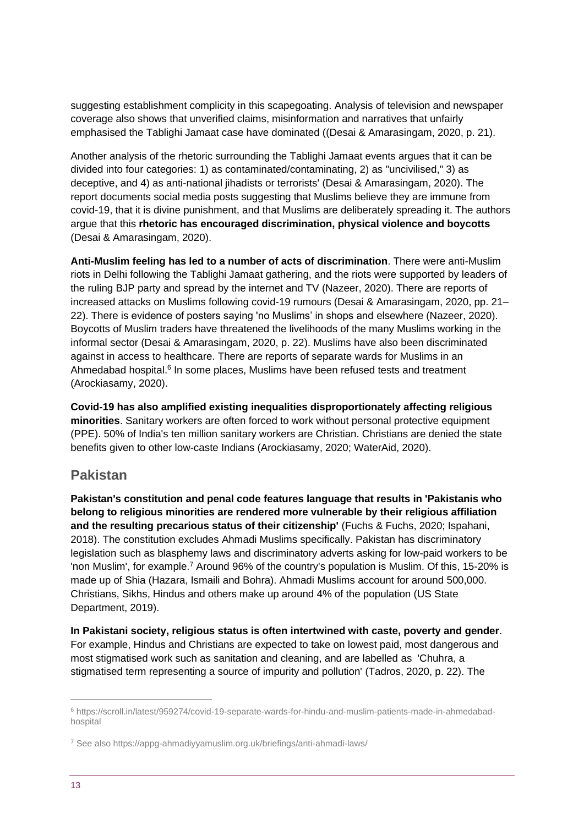suggesting establishment complicity in this scapegoating. Analysis of television and newspaper coverage also shows that unverified claims, misinformation and narratives that unfairly emphasised the Tablighi Jamaat case have dominated ((Desai & Amarasingam, 2020, p. 21).

Another analysis of the rhetoric surrounding the Tablighi Jamaat events argues that it can be divided into four categories: 1) as contaminated/contaminating, 2) as "uncivilised," 3) as deceptive, and 4) as anti-national jihadists or terrorists' (Desai & Amarasingam, 2020). The report documents social media posts suggesting that Muslims believe they are immune from covid-19, that it is divine punishment, and that Muslims are deliberately spreading it. The authors argue that this **rhetoric has encouraged discrimination, physical violence and boycotts** (Desai & Amarasingam, 2020).

**Anti-Muslim feeling has led to a number of acts of discrimination**. There were anti-Muslim riots in Delhi following the Tablighi Jamaat gathering, and the riots were supported by leaders of the ruling BJP party and spread by the internet and TV (Nazeer, 2020). There are reports of increased attacks on Muslims following covid-19 rumours (Desai & Amarasingam, 2020, pp. 21– 22). There is evidence of posters saying 'no Muslims' in shops and elsewhere (Nazeer, 2020). Boycotts of Muslim traders have threatened the livelihoods of the many Muslims working in the informal sector (Desai & Amarasingam, 2020, p. 22). Muslims have also been discriminated against in access to healthcare. There are reports of separate wards for Muslims in an Ahmedabad hospital.<sup>6</sup> In some places, Muslims have been refused tests and treatment (Arockiasamy, 2020).

**Covid-19 has also amplified existing inequalities disproportionately affecting religious minorities**. Sanitary workers are often forced to work without personal protective equipment (PPE). 50% of India's ten million sanitary workers are Christian. Christians are denied the state benefits given to other low-caste Indians (Arockiasamy, 2020; WaterAid, 2020).

# **Pakistan**

**Pakistan's constitution and penal code features language that results in 'Pakistanis who belong to religious minorities are rendered more vulnerable by their religious affiliation and the resulting precarious status of their citizenship'** (Fuchs & Fuchs, 2020; Ispahani, 2018). The constitution excludes Ahmadi Muslims specifically. Pakistan has discriminatory legislation such as blasphemy laws and discriminatory adverts asking for low-paid workers to be 'non Muslim', for example.<sup>7</sup> Around 96% of the country's population is Muslim. Of this, 15-20% is made up of Shia (Hazara, Ismaili and Bohra). Ahmadi Muslims account for around 500,000. Christians, Sikhs, Hindus and others make up around 4% of the population (US State Department, 2019).

**In Pakistani society, religious status is often intertwined with caste, poverty and gender**. For example, Hindus and Christians are expected to take on lowest paid, most dangerous and most stigmatised work such as sanitation and cleaning, and are labelled as 'Chuhra, a stigmatised term representing a source of impurity and pollution' (Tadros, 2020, p. 22). The

<sup>6</sup> https://scroll.in/latest/959274/covid-19-separate-wards-for-hindu-and-muslim-patients-made-in-ahmedabadhospital

<sup>7</sup> See also https://appg-ahmadiyyamuslim.org.uk/briefings/anti-ahmadi-laws/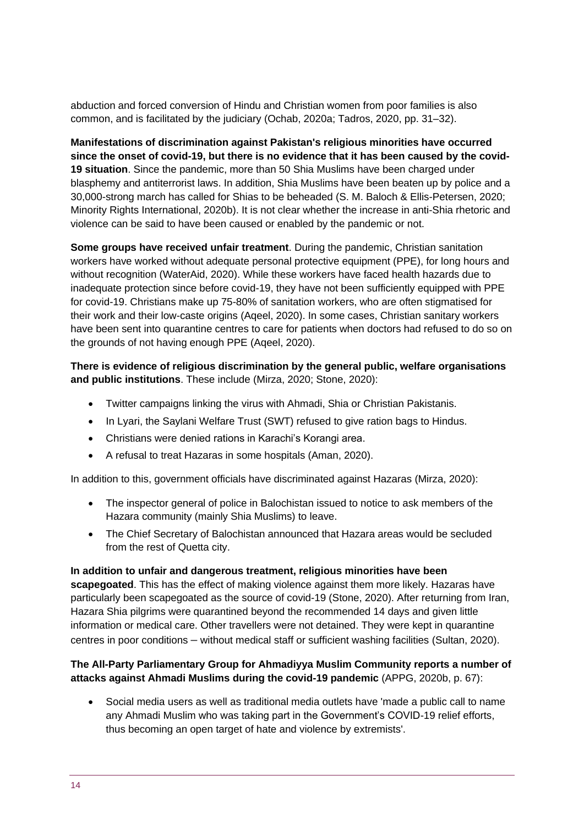abduction and forced conversion of Hindu and Christian women from poor families is also common, and is facilitated by the judiciary (Ochab, 2020a; Tadros, 2020, pp. 31–32).

**Manifestations of discrimination against Pakistan's religious minorities have occurred since the onset of covid-19, but there is no evidence that it has been caused by the covid-19 situation**. Since the pandemic, more than 50 Shia Muslims have been charged under blasphemy and antiterrorist laws. In addition, Shia Muslims have been beaten up by police and a 30,000-strong march has called for Shias to be beheaded (S. M. Baloch & Ellis-Petersen, 2020; Minority Rights International, 2020b). It is not clear whether the increase in anti-Shia rhetoric and violence can be said to have been caused or enabled by the pandemic or not.

**Some groups have received unfair treatment**. During the pandemic, Christian sanitation workers have worked without adequate personal protective equipment (PPE), for long hours and without recognition (WaterAid, 2020). While these workers have faced health hazards due to inadequate protection since before covid-19, they have not been sufficiently equipped with PPE for covid-19. Christians make up 75-80% of sanitation workers, who are often stigmatised for their work and their low-caste origins (Aqeel, 2020). In some cases, Christian sanitary workers have been sent into quarantine centres to care for patients when doctors had refused to do so on the grounds of not having enough PPE (Aqeel, 2020).

#### **There is evidence of religious discrimination by the general public, welfare organisations and public institutions**. These include (Mirza, 2020; Stone, 2020):

- Twitter campaigns linking the virus with Ahmadi, Shia or Christian Pakistanis.
- In Lyari, the Saylani Welfare Trust (SWT) refused to give ration bags to Hindus.
- Christians were denied rations in Karachi's Korangi area.
- A refusal to treat Hazaras in some hospitals (Aman, 2020).

In addition to this, government officials have discriminated against Hazaras (Mirza, 2020):

- The inspector general of police in Balochistan issued to notice to ask members of the Hazara community (mainly Shia Muslims) to leave.
- The Chief Secretary of Balochistan announced that Hazara areas would be secluded from the rest of Quetta city.

#### **In addition to unfair and dangerous treatment, religious minorities have been**

**scapegoated**. This has the effect of making violence against them more likely. Hazaras have particularly been scapegoated as the source of covid-19 (Stone, 2020). After returning from Iran, Hazara Shia pilgrims were quarantined beyond the recommended 14 days and given little information or medical care. Other travellers were not detained. They were kept in quarantine centres in poor conditions – without medical staff or sufficient washing facilities (Sultan, 2020).

#### **The All-Party Parliamentary Group for Ahmadiyya Muslim Community reports a number of attacks against Ahmadi Muslims during the covid-19 pandemic** (APPG, 2020b, p. 67):

• Social media users as well as traditional media outlets have 'made a public call to name any Ahmadi Muslim who was taking part in the Government's COVID-19 relief efforts, thus becoming an open target of hate and violence by extremists'.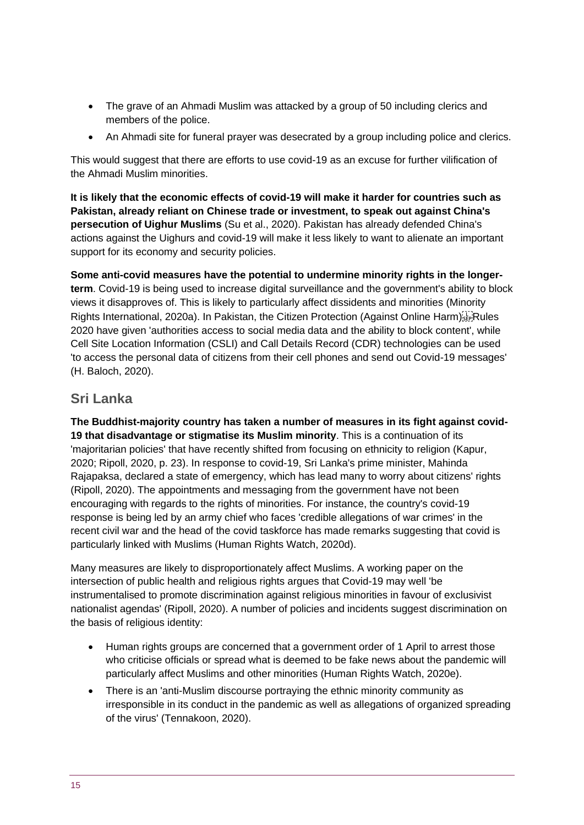- The grave of an Ahmadi Muslim was attacked by a group of 50 including clerics and members of the police.
- An Ahmadi site for funeral prayer was desecrated by a group including police and clerics.

This would suggest that there are efforts to use covid-19 as an excuse for further vilification of the Ahmadi Muslim minorities.

**It is likely that the economic effects of covid-19 will make it harder for countries such as Pakistan, already reliant on Chinese trade or investment, to speak out against China's persecution of Uighur Muslims** (Su et al., 2020). Pakistan has already defended China's actions against the Uighurs and covid-19 will make it less likely to want to alienate an important support for its economy and security policies.

**Some anti-covid measures have the potential to undermine minority rights in the longerterm**. Covid-19 is being used to increase digital surveillance and the government's ability to block views it disapproves of. This is likely to particularly affect dissidents and minorities (Minority Rights International, 2020a). In Pakistan, the Citizen Protection (Against Online Harm); Rules 2020 have given 'authorities access to social media data and the ability to block content', while Cell Site Location Information (CSLI) and Call Details Record (CDR) technologies can be used 'to access the personal data of citizens from their cell phones and send out Covid-19 messages' (H. Baloch, 2020).

### **Sri Lanka**

**The Buddhist-majority country has taken a number of measures in its fight against covid-19 that disadvantage or stigmatise its Muslim minority**. This is a continuation of its 'majoritarian policies' that have recently shifted from focusing on ethnicity to religion (Kapur, 2020; Ripoll, 2020, p. 23). In response to covid-19, Sri Lanka's prime minister, Mahinda Rajapaksa, declared a state of emergency, which has lead many to worry about citizens' rights (Ripoll, 2020). The appointments and messaging from the government have not been encouraging with regards to the rights of minorities. For instance, the country's covid-19 response is being led by an army chief who faces 'credible allegations of war crimes' in the recent civil war and the head of the covid taskforce has made remarks suggesting that covid is particularly linked with Muslims (Human Rights Watch, 2020d).

Many measures are likely to disproportionately affect Muslims. A working paper on the intersection of public health and religious rights argues that Covid-19 may well 'be instrumentalised to promote discrimination against religious minorities in favour of exclusivist nationalist agendas' (Ripoll, 2020). A number of policies and incidents suggest discrimination on the basis of religious identity:

- Human rights groups are concerned that a government order of 1 April to arrest those who criticise officials or spread what is deemed to be fake news about the pandemic will particularly affect Muslims and other minorities (Human Rights Watch, 2020e).
- There is an 'anti-Muslim discourse portraying the ethnic minority community as irresponsible in its conduct in the pandemic as well as allegations of organized spreading of the virus' (Tennakoon, 2020).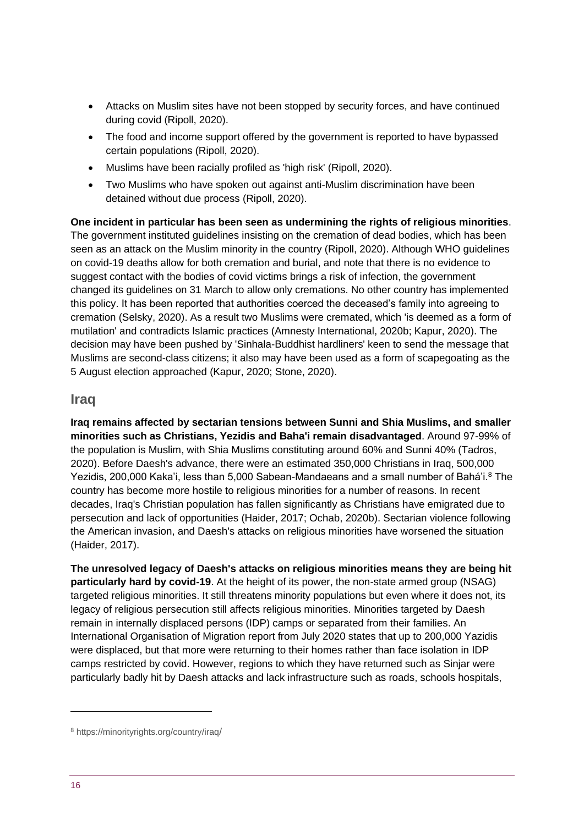- Attacks on Muslim sites have not been stopped by security forces, and have continued during covid (Ripoll, 2020).
- The food and income support offered by the government is reported to have bypassed certain populations (Ripoll, 2020).
- Muslims have been racially profiled as 'high risk' (Ripoll, 2020).
- Two Muslims who have spoken out against anti-Muslim discrimination have been detained without due process (Ripoll, 2020).

**One incident in particular has been seen as undermining the rights of religious minorities**. The government instituted guidelines insisting on the cremation of dead bodies, which has been seen as an attack on the Muslim minority in the country (Ripoll, 2020). Although WHO guidelines on covid-19 deaths allow for both cremation and burial, and note that there is no evidence to suggest contact with the bodies of covid victims brings a risk of infection, the government changed its guidelines on 31 March to allow only cremations. No other country has implemented this policy. It has been reported that authorities coerced the deceased's family into agreeing to cremation (Selsky, 2020). As a result two Muslims were cremated, which 'is deemed as a form of mutilation' and contradicts Islamic practices (Amnesty International, 2020b; Kapur, 2020). The decision may have been pushed by 'Sinhala-Buddhist hardliners' keen to send the message that Muslims are second-class citizens; it also may have been used as a form of scapegoating as the 5 August election approached (Kapur, 2020; Stone, 2020).

### **Iraq**

**Iraq remains affected by sectarian tensions between Sunni and Shia Muslims, and smaller minorities such as Christians, Yezidis and Baha'i remain disadvantaged**. Around 97-99% of the population is Muslim, with Shia Muslims constituting around 60% and Sunni 40% (Tadros, 2020). Before Daesh's advance, there were an estimated 350,000 Christians in Iraq, 500,000 Yezidis, 200,000 Kaka'i, less than 5,000 Sabean-Mandaeans and a small number of Bahá'i.<sup>8</sup> The country has become more hostile to religious minorities for a number of reasons. In recent decades, Iraq's Christian population has fallen significantly as Christians have emigrated due to persecution and lack of opportunities (Haider, 2017; Ochab, 2020b). Sectarian violence following the American invasion, and Daesh's attacks on religious minorities have worsened the situation (Haider, 2017).

**The unresolved legacy of Daesh's attacks on religious minorities means they are being hit particularly hard by covid-19**. At the height of its power, the non-state armed group (NSAG) targeted religious minorities. It still threatens minority populations but even where it does not, its legacy of religious persecution still affects religious minorities. Minorities targeted by Daesh remain in internally displaced persons (IDP) camps or separated from their families. An International Organisation of Migration report from July 2020 states that up to 200,000 Yazidis were displaced, but that more were returning to their homes rather than face isolation in IDP camps restricted by covid. However, regions to which they have returned such as Sinjar were particularly badly hit by Daesh attacks and lack infrastructure such as roads, schools hospitals,

<sup>8</sup> https://minorityrights.org/country/iraq/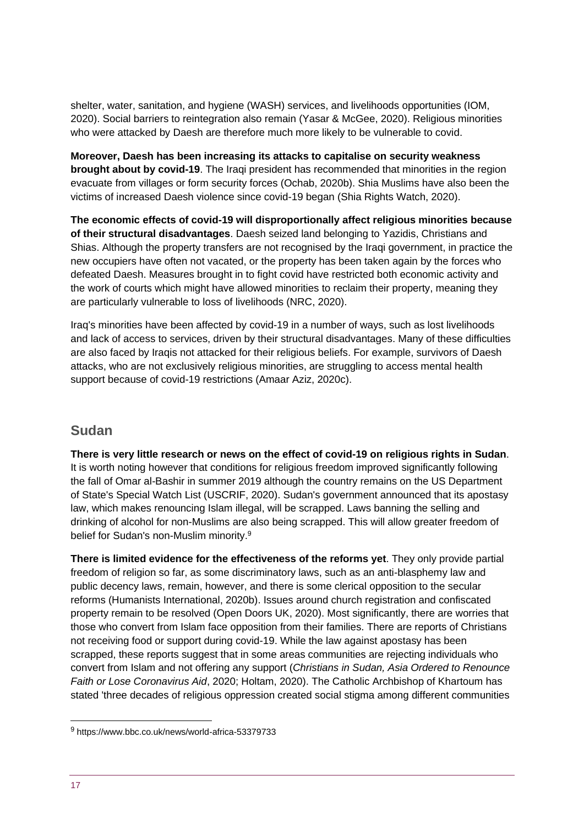shelter, water, sanitation, and hygiene (WASH) services, and livelihoods opportunities (IOM, 2020). Social barriers to reintegration also remain (Yasar & McGee, 2020). Religious minorities who were attacked by Daesh are therefore much more likely to be vulnerable to covid.

**Moreover, Daesh has been increasing its attacks to capitalise on security weakness brought about by covid-19**. The Iraqi president has recommended that minorities in the region evacuate from villages or form security forces (Ochab, 2020b). Shia Muslims have also been the victims of increased Daesh violence since covid-19 began (Shia Rights Watch, 2020).

**The economic effects of covid-19 will disproportionally affect religious minorities because of their structural disadvantages**. Daesh seized land belonging to Yazidis, Christians and Shias. Although the property transfers are not recognised by the Iraqi government, in practice the new occupiers have often not vacated, or the property has been taken again by the forces who defeated Daesh. Measures brought in to fight covid have restricted both economic activity and the work of courts which might have allowed minorities to reclaim their property, meaning they are particularly vulnerable to loss of livelihoods (NRC, 2020).

Iraq's minorities have been affected by covid-19 in a number of ways, such as lost livelihoods and lack of access to services, driven by their structural disadvantages. Many of these difficulties are also faced by Iraqis not attacked for their religious beliefs. For example, survivors of Daesh attacks, who are not exclusively religious minorities, are struggling to access mental health support because of covid-19 restrictions (Amaar Aziz, 2020c).

# **Sudan**

**There is very little research or news on the effect of covid-19 on religious rights in Sudan**. It is worth noting however that conditions for religious freedom improved significantly following the fall of Omar al-Bashir in summer 2019 although the country remains on the US Department of State's Special Watch List (USCRIF, 2020). Sudan's government announced that its apostasy law, which makes renouncing Islam illegal, will be scrapped. Laws banning the selling and drinking of alcohol for non-Muslims are also being scrapped. This will allow greater freedom of belief for Sudan's non-Muslim minority.<sup>9</sup>

**There is limited evidence for the effectiveness of the reforms yet**. They only provide partial freedom of religion so far, as some discriminatory laws, such as an anti-blasphemy law and public decency laws, remain, however, and there is some clerical opposition to the secular reforms (Humanists International, 2020b). Issues around church registration and confiscated property remain to be resolved (Open Doors UK, 2020). Most significantly, there are worries that those who convert from Islam face opposition from their families. There are reports of Christians not receiving food or support during covid-19. While the law against apostasy has been scrapped, these reports suggest that in some areas communities are rejecting individuals who convert from Islam and not offering any support (*Christians in Sudan, Asia Ordered to Renounce Faith or Lose Coronavirus Aid*, 2020; Holtam, 2020). The Catholic Archbishop of Khartoum has stated 'three decades of religious oppression created social stigma among different communities

<sup>9</sup> https://www.bbc.co.uk/news/world-africa-53379733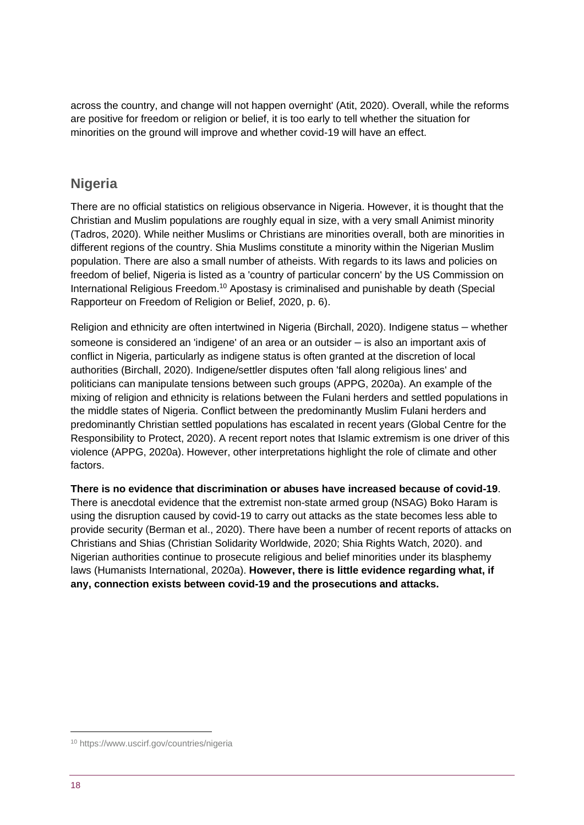across the country, and change will not happen overnight' (Atit, 2020). Overall, while the reforms are positive for freedom or religion or belief, it is too early to tell whether the situation for minorities on the ground will improve and whether covid-19 will have an effect.

# **Nigeria**

There are no official statistics on religious observance in Nigeria. However, it is thought that the Christian and Muslim populations are roughly equal in size, with a very small Animist minority (Tadros, 2020). While neither Muslims or Christians are minorities overall, both are minorities in different regions of the country. Shia Muslims constitute a minority within the Nigerian Muslim population. There are also a small number of atheists. With regards to its laws and policies on freedom of belief, Nigeria is listed as a 'country of particular concern' by the US Commission on International Religious Freedom.<sup>10</sup> Apostasy is criminalised and punishable by death (Special Rapporteur on Freedom of Religion or Belief, 2020, p. 6).

Religion and ethnicity are often intertwined in Nigeria (Birchall, 2020). Indigene status – whether someone is considered an 'indigene' of an area or an outsider – is also an important axis of conflict in Nigeria, particularly as indigene status is often granted at the discretion of local authorities (Birchall, 2020). Indigene/settler disputes often 'fall along religious lines' and politicians can manipulate tensions between such groups (APPG, 2020a). An example of the mixing of religion and ethnicity is relations between the Fulani herders and settled populations in the middle states of Nigeria. Conflict between the predominantly Muslim Fulani herders and predominantly Christian settled populations has escalated in recent years (Global Centre for the Responsibility to Protect, 2020). A recent report notes that Islamic extremism is one driver of this violence (APPG, 2020a). However, other interpretations highlight the role of climate and other factors.

**There is no evidence that discrimination or abuses have increased because of covid-19**. There is anecdotal evidence that the extremist non-state armed group (NSAG) Boko Haram is using the disruption caused by covid-19 to carry out attacks as the state becomes less able to provide security (Berman et al., 2020). There have been a number of recent reports of attacks on Christians and Shias (Christian Solidarity Worldwide, 2020; Shia Rights Watch, 2020). and Nigerian authorities continue to prosecute religious and belief minorities under its blasphemy laws (Humanists International, 2020a). **However, there is little evidence regarding what, if any, connection exists between covid-19 and the prosecutions and attacks.**

<sup>10</sup> https://www.uscirf.gov/countries/nigeria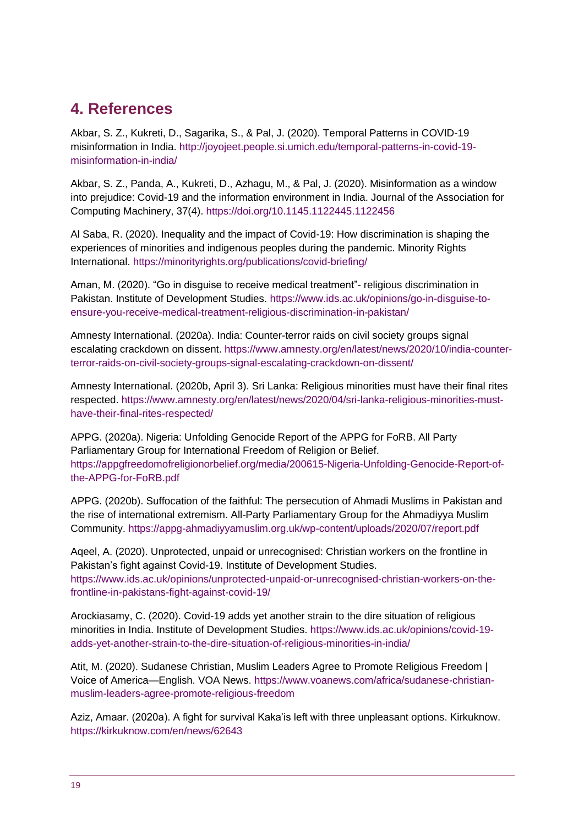# **4. References**

Akbar, S. Z., Kukreti, D., Sagarika, S., & Pal, J. (2020). Temporal Patterns in COVID-19 misinformation in India. http://joyojeet.people.si.umich.edu/temporal-patterns-in-covid-19 misinformation-in-india/

Akbar, S. Z., Panda, A., Kukreti, D., Azhagu, M., & Pal, J. (2020). Misinformation as a window into prejudice: Covid-19 and the information environment in India. Journal of the Association for Computing Machinery, 37(4). https://doi.org/10.1145.1122445.1122456

Al Saba, R. (2020). Inequality and the impact of Covid-19: How discrimination is shaping the experiences of minorities and indigenous peoples during the pandemic. Minority Rights International. https://minorityrights.org/publications/covid-briefing/

Aman, M. (2020). "Go in disguise to receive medical treatment"- religious discrimination in Pakistan. Institute of Development Studies. https://www.ids.ac.uk/opinions/go-in-disguise-toensure-you-receive-medical-treatment-religious-discrimination-in-pakistan/

Amnesty International. (2020a). India: Counter-terror raids on civil society groups signal escalating crackdown on dissent. https://www.amnesty.org/en/latest/news/2020/10/india-counterterror-raids-on-civil-society-groups-signal-escalating-crackdown-on-dissent/

Amnesty International. (2020b, April 3). Sri Lanka: Religious minorities must have their final rites respected. https://www.amnesty.org/en/latest/news/2020/04/sri-lanka-religious-minorities-musthave-their-final-rites-respected/

APPG. (2020a). Nigeria: Unfolding Genocide Report of the APPG for FoRB. All Party Parliamentary Group for International Freedom of Religion or Belief. https://appgfreedomofreligionorbelief.org/media/200615-Nigeria-Unfolding-Genocide-Report-ofthe-APPG-for-FoRB.pdf

APPG. (2020b). Suffocation of the faithful: The persecution of Ahmadi Muslims in Pakistan and the rise of international extremism. All-Party Parliamentary Group for the Ahmadiyya Muslim Community. https://appg-ahmadiyyamuslim.org.uk/wp-content/uploads/2020/07/report.pdf

Aqeel, A. (2020). Unprotected, unpaid or unrecognised: Christian workers on the frontline in Pakistan's fight against Covid-19. Institute of Development Studies. https://www.ids.ac.uk/opinions/unprotected-unpaid-or-unrecognised-christian-workers-on-thefrontline-in-pakistans-fight-against-covid-19/

Arockiasamy, C. (2020). Covid-19 adds yet another strain to the dire situation of religious minorities in India. Institute of Development Studies. https://www.ids.ac.uk/opinions/covid-19 adds-yet-another-strain-to-the-dire-situation-of-religious-minorities-in-india/

Atit, M. (2020). Sudanese Christian, Muslim Leaders Agree to Promote Religious Freedom | Voice of America—English. VOA News. https://www.voanews.com/africa/sudanese-christianmuslim-leaders-agree-promote-religious-freedom

Aziz, Amaar. (2020a). A fight for survival Kaka'is left with three unpleasant options. Kirkuknow. https://kirkuknow.com/en/news/62643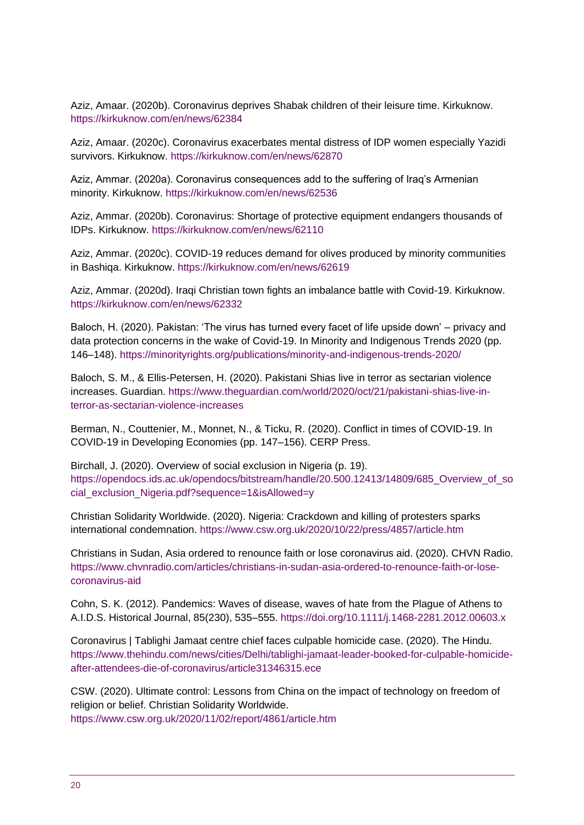Aziz, Amaar. (2020b). Coronavirus deprives Shabak children of their leisure time. Kirkuknow. https://kirkuknow.com/en/news/62384

Aziz, Amaar. (2020c). Coronavirus exacerbates mental distress of IDP women especially Yazidi survivors. Kirkuknow. https://kirkuknow.com/en/news/62870

Aziz, Ammar. (2020a). Coronavirus consequences add to the suffering of Iraq's Armenian minority. Kirkuknow. https://kirkuknow.com/en/news/62536

Aziz, Ammar. (2020b). Coronavirus: Shortage of protective equipment endangers thousands of IDPs. Kirkuknow. https://kirkuknow.com/en/news/62110

Aziz, Ammar. (2020c). COVID-19 reduces demand for olives produced by minority communities in Bashiqa. Kirkuknow. https://kirkuknow.com/en/news/62619

Aziz, Ammar. (2020d). Iraqi Christian town fights an imbalance battle with Covid-19. Kirkuknow. https://kirkuknow.com/en/news/62332

Baloch, H. (2020). Pakistan: 'The virus has turned every facet of life upside down' – privacy and data protection concerns in the wake of Covid-19. In Minority and Indigenous Trends 2020 (pp. 146–148). https://minorityrights.org/publications/minority-and-indigenous-trends-2020/

Baloch, S. M., & Ellis-Petersen, H. (2020). Pakistani Shias live in terror as sectarian violence increases. Guardian. https://www.theguardian.com/world/2020/oct/21/pakistani-shias-live-interror-as-sectarian-violence-increases

Berman, N., Couttenier, M., Monnet, N., & Ticku, R. (2020). Conflict in times of COVID-19. In COVID-19 in Developing Economies (pp. 147–156). CERP Press.

Birchall, J. (2020). Overview of social exclusion in Nigeria (p. 19). https://opendocs.ids.ac.uk/opendocs/bitstream/handle/20.500.12413/14809/685\_Overview\_of\_so cial\_exclusion\_Nigeria.pdf?sequence=1&isAllowed=y

Christian Solidarity Worldwide. (2020). Nigeria: Crackdown and killing of protesters sparks international condemnation. https://www.csw.org.uk/2020/10/22/press/4857/article.htm

Christians in Sudan, Asia ordered to renounce faith or lose coronavirus aid. (2020). CHVN Radio. https://www.chvnradio.com/articles/christians-in-sudan-asia-ordered-to-renounce-faith-or-losecoronavirus-aid

Cohn, S. K. (2012). Pandemics: Waves of disease, waves of hate from the Plague of Athens to A.I.D.S. Historical Journal, 85(230), 535–555. https://doi.org/10.1111/j.1468-2281.2012.00603.x

Coronavirus | Tablighi Jamaat centre chief faces culpable homicide case. (2020). The Hindu. https://www.thehindu.com/news/cities/Delhi/tablighi-jamaat-leader-booked-for-culpable-homicideafter-attendees-die-of-coronavirus/article31346315.ece

CSW. (2020). Ultimate control: Lessons from China on the impact of technology on freedom of religion or belief. Christian Solidarity Worldwide. https://www.csw.org.uk/2020/11/02/report/4861/article.htm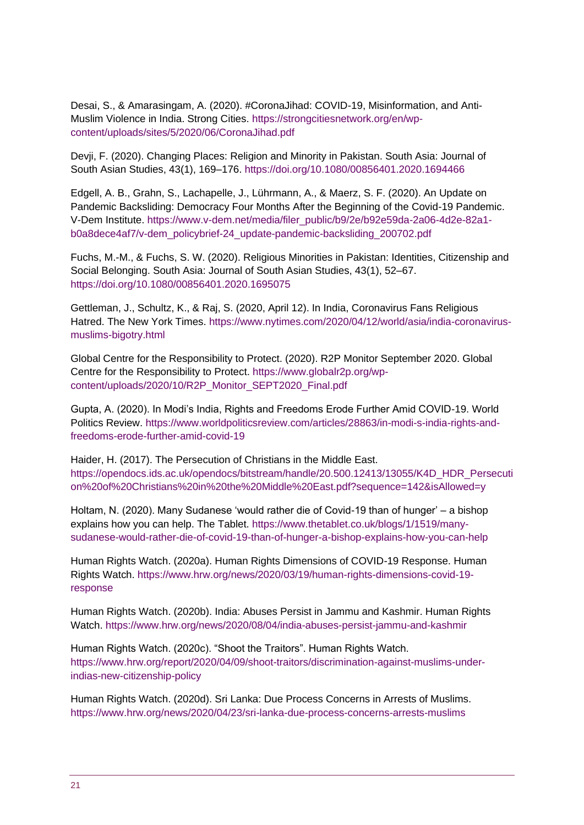Desai, S., & Amarasingam, A. (2020). #CoronaJihad: COVID-19, Misinformation, and Anti-Muslim Violence in India. Strong Cities. https://strongcitiesnetwork.org/en/wpcontent/uploads/sites/5/2020/06/CoronaJihad.pdf

Devji, F. (2020). Changing Places: Religion and Minority in Pakistan. South Asia: Journal of South Asian Studies, 43(1), 169–176. https://doi.org/10.1080/00856401.2020.1694466

Edgell, A. B., Grahn, S., Lachapelle, J., Lührmann, A., & Maerz, S. F. (2020). An Update on Pandemic Backsliding: Democracy Four Months After the Beginning of the Covid-19 Pandemic. V-Dem Institute. https://www.v-dem.net/media/filer\_public/b9/2e/b92e59da-2a06-4d2e-82a1 b0a8dece4af7/v-dem\_policybrief-24\_update-pandemic-backsliding\_200702.pdf

Fuchs, M.-M., & Fuchs, S. W. (2020). Religious Minorities in Pakistan: Identities, Citizenship and Social Belonging. South Asia: Journal of South Asian Studies, 43(1), 52–67. https://doi.org/10.1080/00856401.2020.1695075

Gettleman, J., Schultz, K., & Raj, S. (2020, April 12). In India, Coronavirus Fans Religious Hatred. The New York Times. https://www.nytimes.com/2020/04/12/world/asia/india-coronavirusmuslims-bigotry.html

Global Centre for the Responsibility to Protect. (2020). R2P Monitor September 2020. Global Centre for the Responsibility to Protect. https://www.globalr2p.org/wpcontent/uploads/2020/10/R2P\_Monitor\_SEPT2020\_Final.pdf

Gupta, A. (2020). In Modi's India, Rights and Freedoms Erode Further Amid COVID-19. World Politics Review. https://www.worldpoliticsreview.com/articles/28863/in-modi-s-india-rights-andfreedoms-erode-further-amid-covid-19

Haider, H. (2017). The Persecution of Christians in the Middle East. https://opendocs.ids.ac.uk/opendocs/bitstream/handle/20.500.12413/13055/K4D\_HDR\_Persecuti on%20of%20Christians%20in%20the%20Middle%20East.pdf?sequence=142&isAllowed=y

Holtam, N. (2020). Many Sudanese 'would rather die of Covid-19 than of hunger' – a bishop explains how you can help. The Tablet. https://www.thetablet.co.uk/blogs/1/1519/manysudanese-would-rather-die-of-covid-19-than-of-hunger-a-bishop-explains-how-you-can-help

Human Rights Watch. (2020a). Human Rights Dimensions of COVID-19 Response. Human Rights Watch. https://www.hrw.org/news/2020/03/19/human-rights-dimensions-covid-19 response

Human Rights Watch. (2020b). India: Abuses Persist in Jammu and Kashmir. Human Rights Watch. https://www.hrw.org/news/2020/08/04/india-abuses-persist-jammu-and-kashmir

Human Rights Watch. (2020c). "Shoot the Traitors". Human Rights Watch. https://www.hrw.org/report/2020/04/09/shoot-traitors/discrimination-against-muslims-underindias-new-citizenship-policy

Human Rights Watch. (2020d). Sri Lanka: Due Process Concerns in Arrests of Muslims. https://www.hrw.org/news/2020/04/23/sri-lanka-due-process-concerns-arrests-muslims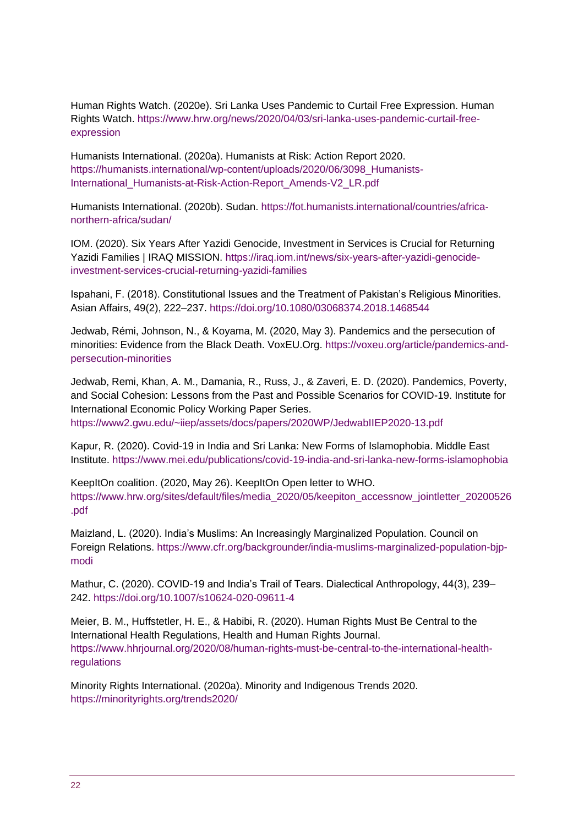Human Rights Watch. (2020e). Sri Lanka Uses Pandemic to Curtail Free Expression. Human Rights Watch. https://www.hrw.org/news/2020/04/03/sri-lanka-uses-pandemic-curtail-freeexpression

Humanists International. (2020a). Humanists at Risk: Action Report 2020. https://humanists.international/wp-content/uploads/2020/06/3098\_Humanists-International\_Humanists-at-Risk-Action-Report\_Amends-V2\_LR.pdf

Humanists International. (2020b). Sudan. https://fot.humanists.international/countries/africanorthern-africa/sudan/

IOM. (2020). Six Years After Yazidi Genocide, Investment in Services is Crucial for Returning Yazidi Families | IRAQ MISSION. https://iraq.iom.int/news/six-years-after-yazidi-genocideinvestment-services-crucial-returning-yazidi-families

Ispahani, F. (2018). Constitutional Issues and the Treatment of Pakistan's Religious Minorities. Asian Affairs, 49(2), 222–237. https://doi.org/10.1080/03068374.2018.1468544

Jedwab, Rémi, Johnson, N., & Koyama, M. (2020, May 3). Pandemics and the persecution of minorities: Evidence from the Black Death. VoxEU.Org. https://voxeu.org/article/pandemics-andpersecution-minorities

Jedwab, Remi, Khan, A. M., Damania, R., Russ, J., & Zaveri, E. D. (2020). Pandemics, Poverty, and Social Cohesion: Lessons from the Past and Possible Scenarios for COVID-19. Institute for International Economic Policy Working Paper Series. https://www2.gwu.edu/~iiep/assets/docs/papers/2020WP/JedwabIIEP2020-13.pdf

Kapur, R. (2020). Covid-19 in India and Sri Lanka: New Forms of Islamophobia. Middle East Institute. https://www.mei.edu/publications/covid-19-india-and-sri-lanka-new-forms-islamophobia

KeepItOn coalition. (2020, May 26). KeepItOn Open letter to WHO. https://www.hrw.org/sites/default/files/media\_2020/05/keepiton\_accessnow\_jointletter\_20200526 .pdf

Maizland, L. (2020). India's Muslims: An Increasingly Marginalized Population. Council on Foreign Relations. https://www.cfr.org/backgrounder/india-muslims-marginalized-population-bjpmodi

Mathur, C. (2020). COVID-19 and India's Trail of Tears. Dialectical Anthropology, 44(3), 239– 242. https://doi.org/10.1007/s10624-020-09611-4

Meier, B. M., Huffstetler, H. E., & Habibi, R. (2020). Human Rights Must Be Central to the International Health Regulations, Health and Human Rights Journal. https://www.hhrjournal.org/2020/08/human-rights-must-be-central-to-the-international-healthregulations

Minority Rights International. (2020a). Minority and Indigenous Trends 2020. https://minorityrights.org/trends2020/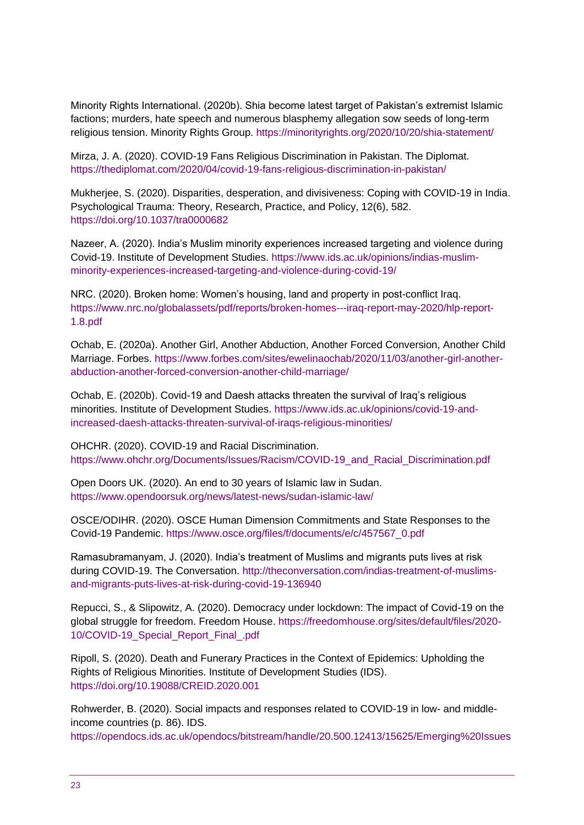Minority Rights International. (2020b). Shia become latest target of Pakistan's extremist Islamic factions; murders, hate speech and numerous blasphemy allegation sow seeds of long-term religious tension. Minority Rights Group. https://minorityrights.org/2020/10/20/shia-statement/

Mirza, J. A. (2020). COVID-19 Fans Religious Discrimination in Pakistan. The Diplomat. https://thediplomat.com/2020/04/covid-19-fans-religious-discrimination-in-pakistan/

Mukherjee, S. (2020). Disparities, desperation, and divisiveness: Coping with COVID-19 in India. Psychological Trauma: Theory, Research, Practice, and Policy, 12(6), 582. https://doi.org/10.1037/tra0000682

Nazeer, A. (2020). India's Muslim minority experiences increased targeting and violence during Covid-19. Institute of Development Studies. https://www.ids.ac.uk/opinions/indias-muslimminority-experiences-increased-targeting-and-violence-during-covid-19/

NRC. (2020). Broken home: Women's housing, land and property in post-conflict Iraq. https://www.nrc.no/globalassets/pdf/reports/broken-homes---iraq-report-may-2020/hlp-report-1.8.pdf

Ochab, E. (2020a). Another Girl, Another Abduction, Another Forced Conversion, Another Child Marriage. Forbes. https://www.forbes.com/sites/ewelinaochab/2020/11/03/another-girl-anotherabduction-another-forced-conversion-another-child-marriage/

Ochab, E. (2020b). Covid-19 and Daesh attacks threaten the survival of Iraq's religious minorities. Institute of Development Studies. https://www.ids.ac.uk/opinions/covid-19-andincreased-daesh-attacks-threaten-survival-of-iraqs-religious-minorities/

OHCHR. (2020). COVID-19 and Racial Discrimination. https://www.ohchr.org/Documents/Issues/Racism/COVID-19\_and\_Racial\_Discrimination.pdf

Open Doors UK. (2020). An end to 30 years of Islamic law in Sudan. https://www.opendoorsuk.org/news/latest-news/sudan-islamic-law/

OSCE/ODIHR. (2020). OSCE Human Dimension Commitments and State Responses to the Covid-19 Pandemic. https://www.osce.org/files/f/documents/e/c/457567\_0.pdf

Ramasubramanyam, J. (2020). India's treatment of Muslims and migrants puts lives at risk during COVID-19. The Conversation. http://theconversation.com/indias-treatment-of-muslimsand-migrants-puts-lives-at-risk-during-covid-19-136940

Repucci, S., & Slipowitz, A. (2020). Democracy under lockdown: The impact of Covid-19 on the global struggle for freedom. Freedom House. https://freedomhouse.org/sites/default/files/2020- 10/COVID-19 Special Report Final .pdf

Ripoll, S. (2020). Death and Funerary Practices in the Context of Epidemics: Upholding the Rights of Religious Minorities. Institute of Development Studies (IDS). https://doi.org/10.19088/CREID.2020.001

Rohwerder, B. (2020). Social impacts and responses related to COVID-19 in low- and middleincome countries (p. 86). IDS.

https://opendocs.ids.ac.uk/opendocs/bitstream/handle/20.500.12413/15625/Emerging%20Issues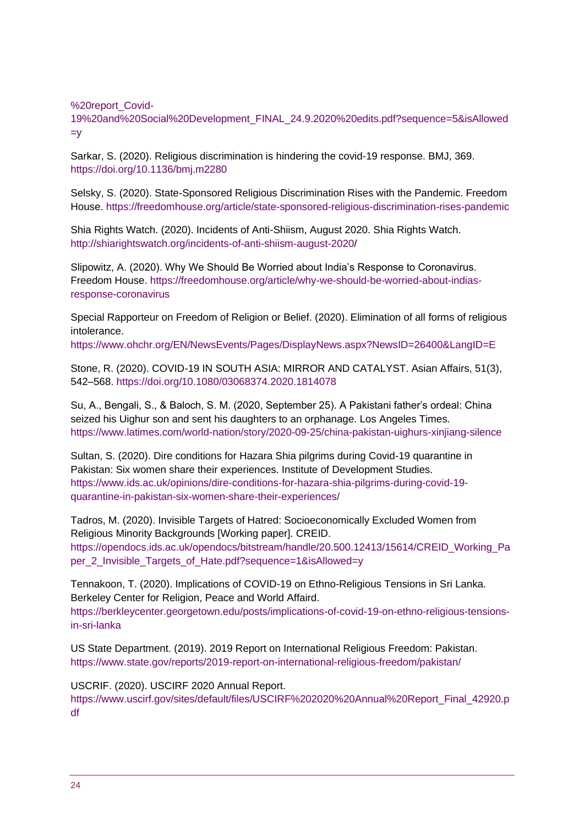%20report\_Covid-

19%20and%20Social%20Development\_FINAL\_24.9.2020%20edits.pdf?sequence=5&isAllowed  $=y$ 

Sarkar, S. (2020). Religious discrimination is hindering the covid-19 response. BMJ, 369. https://doi.org/10.1136/bmj.m2280

Selsky, S. (2020). State-Sponsored Religious Discrimination Rises with the Pandemic. Freedom House. https://freedomhouse.org/article/state-sponsored-religious-discrimination-rises-pandemic

Shia Rights Watch. (2020). Incidents of Anti-Shiism, August 2020. Shia Rights Watch. http://shiarightswatch.org/incidents-of-anti-shiism-august-2020/

Slipowitz, A. (2020). Why We Should Be Worried about India's Response to Coronavirus. Freedom House. https://freedomhouse.org/article/why-we-should-be-worried-about-indiasresponse-coronavirus

Special Rapporteur on Freedom of Religion or Belief. (2020). Elimination of all forms of religious intolerance.

https://www.ohchr.org/EN/NewsEvents/Pages/DisplayNews.aspx?NewsID=26400&LangID=E

Stone, R. (2020). COVID-19 IN SOUTH ASIA: MIRROR AND CATALYST. Asian Affairs, 51(3), 542–568. https://doi.org/10.1080/03068374.2020.1814078

Su, A., Bengali, S., & Baloch, S. M. (2020, September 25). A Pakistani father's ordeal: China seized his Uighur son and sent his daughters to an orphanage. Los Angeles Times. https://www.latimes.com/world-nation/story/2020-09-25/china-pakistan-uighurs-xinjiang-silence

Sultan, S. (2020). Dire conditions for Hazara Shia pilgrims during Covid-19 quarantine in Pakistan: Six women share their experiences. Institute of Development Studies. https://www.ids.ac.uk/opinions/dire-conditions-for-hazara-shia-pilgrims-during-covid-19 quarantine-in-pakistan-six-women-share-their-experiences/

Tadros, M. (2020). Invisible Targets of Hatred: Socioeconomically Excluded Women from Religious Minority Backgrounds [Working paper]. CREID. https://opendocs.ids.ac.uk/opendocs/bitstream/handle/20.500.12413/15614/CREID\_Working\_Pa per\_2\_Invisible\_Targets\_of\_Hate.pdf?sequence=1&isAllowed=y

Tennakoon, T. (2020). Implications of COVID-19 on Ethno-Religious Tensions in Sri Lanka. Berkeley Center for Religion, Peace and World Affaird. https://berkleycenter.georgetown.edu/posts/implications-of-covid-19-on-ethno-religious-tensionsin-sri-lanka

US State Department. (2019). 2019 Report on International Religious Freedom: Pakistan. https://www.state.gov/reports/2019-report-on-international-religious-freedom/pakistan/

USCRIF. (2020). USCIRF 2020 Annual Report.

https://www.uscirf.gov/sites/default/files/USCIRF%202020%20Annual%20Report\_Final\_42920.p df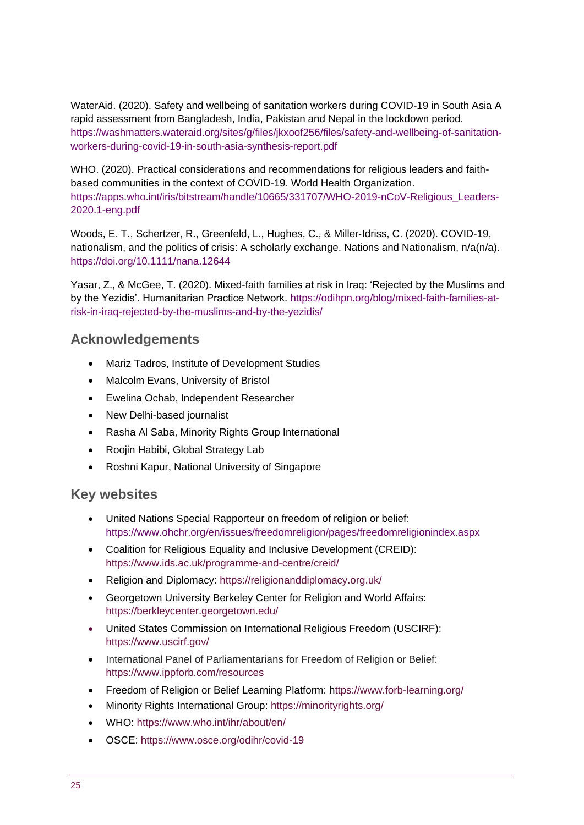WaterAid. (2020). Safety and wellbeing of sanitation workers during COVID-19 in South Asia A rapid assessment from Bangladesh, India, Pakistan and Nepal in the lockdown period. https://washmatters.wateraid.org/sites/g/files/jkxoof256/files/safety-and-wellbeing-of-sanitationworkers-during-covid-19-in-south-asia-synthesis-report.pdf

WHO. (2020). Practical considerations and recommendations for religious leaders and faithbased communities in the context of COVID-19. World Health Organization. https://apps.who.int/iris/bitstream/handle/10665/331707/WHO-2019-nCoV-Religious\_Leaders-2020.1-eng.pdf

Woods, E. T., Schertzer, R., Greenfeld, L., Hughes, C., & Miller‐Idriss, C. (2020). COVID-19, nationalism, and the politics of crisis: A scholarly exchange. Nations and Nationalism, n/a(n/a). https://doi.org/10.1111/nana.12644

Yasar, Z., & McGee, T. (2020). Mixed-faith families at risk in Iraq: 'Rejected by the Muslims and by the Yezidis'. Humanitarian Practice Network. https://odihpn.org/blog/mixed-faith-families-atrisk-in-iraq-rejected-by-the-muslims-and-by-the-yezidis/

# **Acknowledgements**

- Mariz Tadros, Institute of Development Studies
- Malcolm Evans, University of Bristol
- Ewelina Ochab, Independent Researcher
- New Delhi-based journalist
- Rasha Al Saba, Minority Rights Group International
- Roojin Habibi, Global Strategy Lab
- Roshni Kapur, National University of Singapore

# **Key websites**

- United Nations Special Rapporteur on freedom of religion or belief: https://www.ohchr.org/en/issues/freedomreligion/pages/freedomreligionindex.aspx
- Coalition for Religious Equality and Inclusive Development (CREID): https://www.ids.ac.uk/programme-and-centre/creid/
- Religion and Diplomacy: https://religionanddiplomacy.org.uk/
- Georgetown University Berkeley Center for Religion and World Affairs: https://berkleycenter.georgetown.edu/
- United States Commission on International Religious Freedom (USCIRF): https://www.uscirf.gov/
- International Panel of Parliamentarians for Freedom of Religion or Belief: <https://www.ippforb.com/resources>
- Freedom of Religion or Belief Learning Platform: <https://www.forb-learning.org/>
- Minority Rights International Group: https://minorityrights.org/
- WHO: https://www.who.int/ihr/about/en/
- OSCE: https://www.osce.org/odihr/covid-19